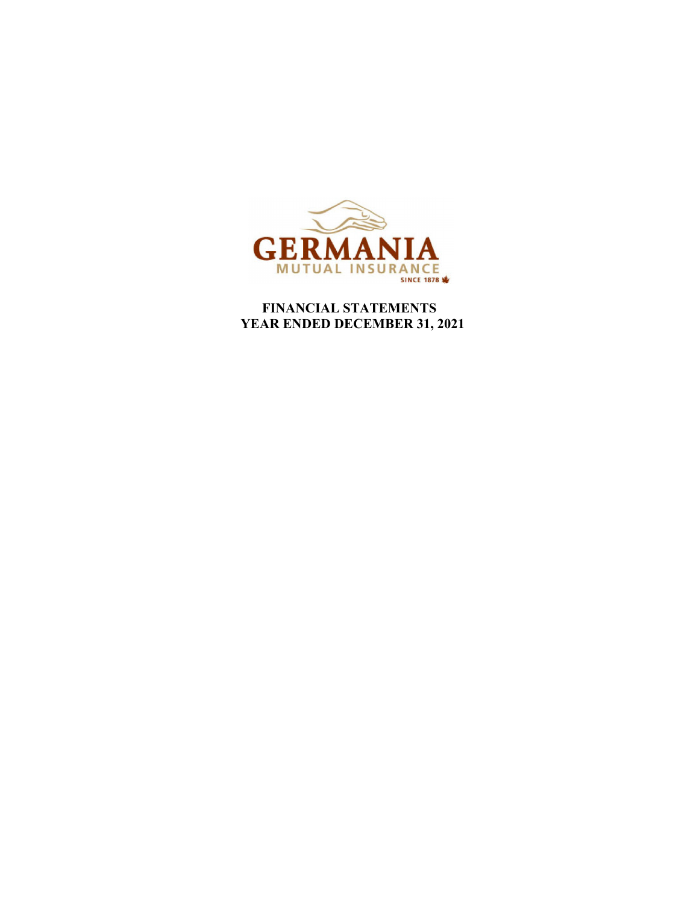

**FINANCIAL STATEMENTS YEAR ENDED DECEMBER 31, 2021**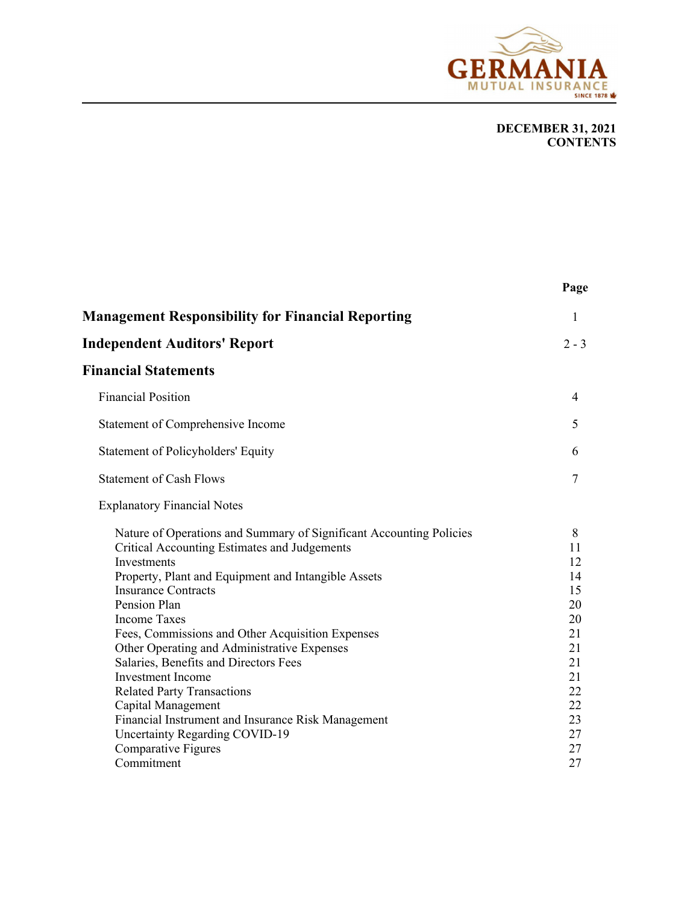

# **DECEMBER 31, 2021 CONTENTS**

|                                                                                                                     | Page     |
|---------------------------------------------------------------------------------------------------------------------|----------|
| <b>Management Responsibility for Financial Reporting</b>                                                            | 1        |
| <b>Independent Auditors' Report</b>                                                                                 | $2 - 3$  |
| <b>Financial Statements</b>                                                                                         |          |
| <b>Financial Position</b>                                                                                           | 4        |
| Statement of Comprehensive Income                                                                                   | 5        |
| <b>Statement of Policyholders' Equity</b>                                                                           | 6        |
| <b>Statement of Cash Flows</b>                                                                                      | $\tau$   |
| <b>Explanatory Financial Notes</b>                                                                                  |          |
| Nature of Operations and Summary of Significant Accounting Policies<br>Critical Accounting Estimates and Judgements | 8<br>11  |
| Investments                                                                                                         | 12       |
| Property, Plant and Equipment and Intangible Assets                                                                 | 14       |
| <b>Insurance Contracts</b>                                                                                          | 15       |
| Pension Plan                                                                                                        | 20       |
| <b>Income Taxes</b>                                                                                                 | 20       |
| Fees, Commissions and Other Acquisition Expenses                                                                    | 21       |
| Other Operating and Administrative Expenses                                                                         | 21       |
| Salaries, Benefits and Directors Fees                                                                               | 21       |
| <b>Investment Income</b>                                                                                            | 21       |
| <b>Related Party Transactions</b>                                                                                   | 22       |
| Capital Management                                                                                                  | 22       |
| Financial Instrument and Insurance Risk Management                                                                  | 23       |
| <b>Uncertainty Regarding COVID-19</b><br><b>Comparative Figures</b>                                                 | 27<br>27 |
| Commitment                                                                                                          | 27       |
|                                                                                                                     |          |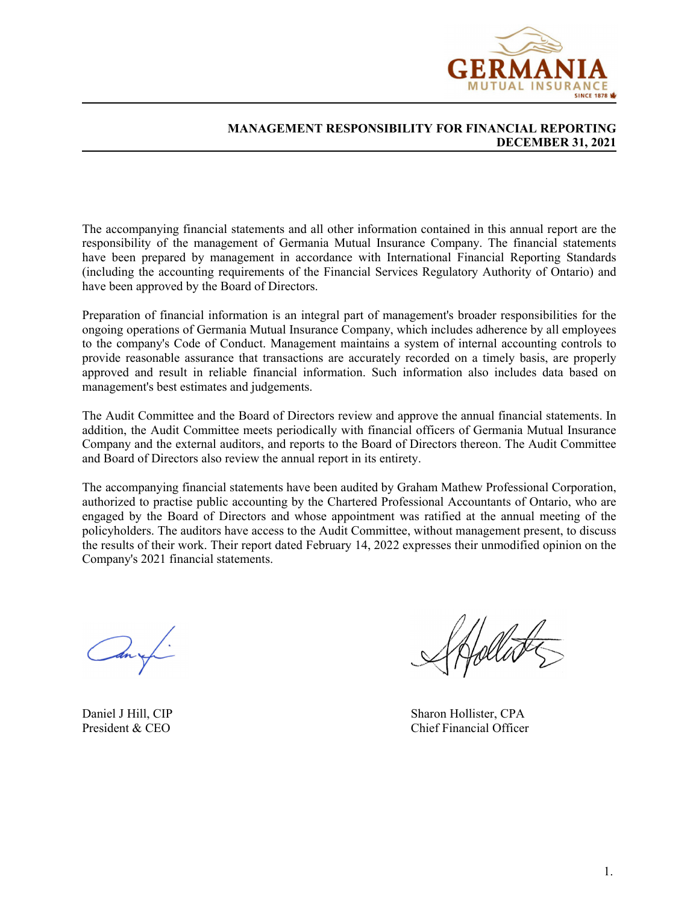

## **MANAGEMENT RESPONSIBILITY FOR FINANCIAL REPORTING DECEMBER 31, 2021**

The accompanying financial statements and all other information contained in this annual report are the responsibility of the management of Germania Mutual Insurance Company. The financial statements have been prepared by management in accordance with International Financial Reporting Standards (including the accounting requirements of the Financial Services Regulatory Authority of Ontario) and have been approved by the Board of Directors.

Preparation of financial information is an integral part of management's broader responsibilities for the ongoing operations of Germania Mutual Insurance Company, which includes adherence by all employees to the company's Code of Conduct. Management maintains a system of internal accounting controls to provide reasonable assurance that transactions are accurately recorded on a timely basis, are properly approved and result in reliable financial information. Such information also includes data based on management's best estimates and judgements.

The Audit Committee and the Board of Directors review and approve the annual financial statements. In addition, the Audit Committee meets periodically with financial officers of Germania Mutual Insurance Company and the external auditors, and reports to the Board of Directors thereon. The Audit Committee and Board of Directors also review the annual report in its entirety.

The accompanying financial statements have been audited by Graham Mathew Professional Corporation, authorized to practise public accounting by the Chartered Professional Accountants of Ontario, who are engaged by the Board of Directors and whose appointment was ratified at the annual meeting of the policyholders. The auditors have access to the Audit Committee, without management present, to discuss the results of their work. Their report dated February 14, 2022 expresses their unmodified opinion on the Company's 2021 financial statements.

Daniel J Hill, CIP Sharon Hollister, CPA President & CEO Chief Financial Officer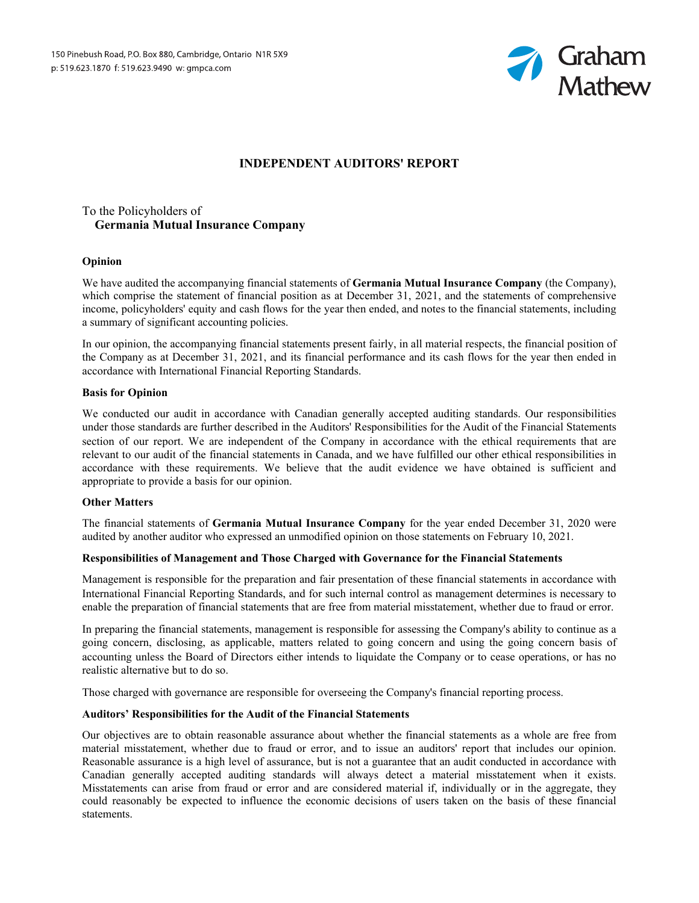

# **INDEPENDENT AUDITORS' REPORT**

To the Policyholders of **Germania Mutual Insurance Company**

### **Opinion**

We have audited the accompanying financial statements of **Germania Mutual Insurance Company** (the Company), which comprise the statement of financial position as at December 31, 2021, and the statements of comprehensive income, policyholders' equity and cash flows for the year then ended, and notes to the financial statements, including a summary of significant accounting policies.

In our opinion, the accompanying financial statements present fairly, in all material respects, the financial position of the Company as at December 31, 2021, and its financial performance and its cash flows for the year then ended in accordance with International Financial Reporting Standards.

### **Basis for Opinion**

We conducted our audit in accordance with Canadian generally accepted auditing standards. Our responsibilities under those standards are further described in the Auditors' Responsibilities for the Audit of the Financial Statements section of our report. We are independent of the Company in accordance with the ethical requirements that are relevant to our audit of the financial statements in Canada, and we have fulfilled our other ethical responsibilities in accordance with these requirements. We believe that the audit evidence we have obtained is sufficient and appropriate to provide a basis for our opinion.

### **Other Matters**

The financial statements of **Germania Mutual Insurance Company** for the year ended December 31, 2020 were audited by another auditor who expressed an unmodified opinion on those statements on February 10, 2021.

## **Responsibilities of Management and Those Charged with Governance for the Financial Statements**

Management is responsible for the preparation and fair presentation of these financial statements in accordance with International Financial Reporting Standards, and for such internal control as management determines is necessary to enable the preparation of financial statements that are free from material misstatement, whether due to fraud or error.

In preparing the financial statements, management is responsible for assessing the Company's ability to continue as a going concern, disclosing, as applicable, matters related to going concern and using the going concern basis of accounting unless the Board of Directors either intends to liquidate the Company or to cease operations, or has no realistic alternative but to do so.

Those charged with governance are responsible for overseeing the Company's financial reporting process.

## **Auditors' Responsibilities for the Audit of the Financial Statements**

Our objectives are to obtain reasonable assurance about whether the financial statements as a whole are free from material misstatement, whether due to fraud or error, and to issue an auditors' report that includes our opinion. Reasonable assurance is a high level of assurance, but is not a guarantee that an audit conducted in accordance with Canadian generally accepted auditing standards will always detect a material misstatement when it exists. Misstatements can arise from fraud or error and are considered material if, individually or in the aggregate, they could reasonably be expected to influence the economic decisions of users taken on the basis of these financial statements.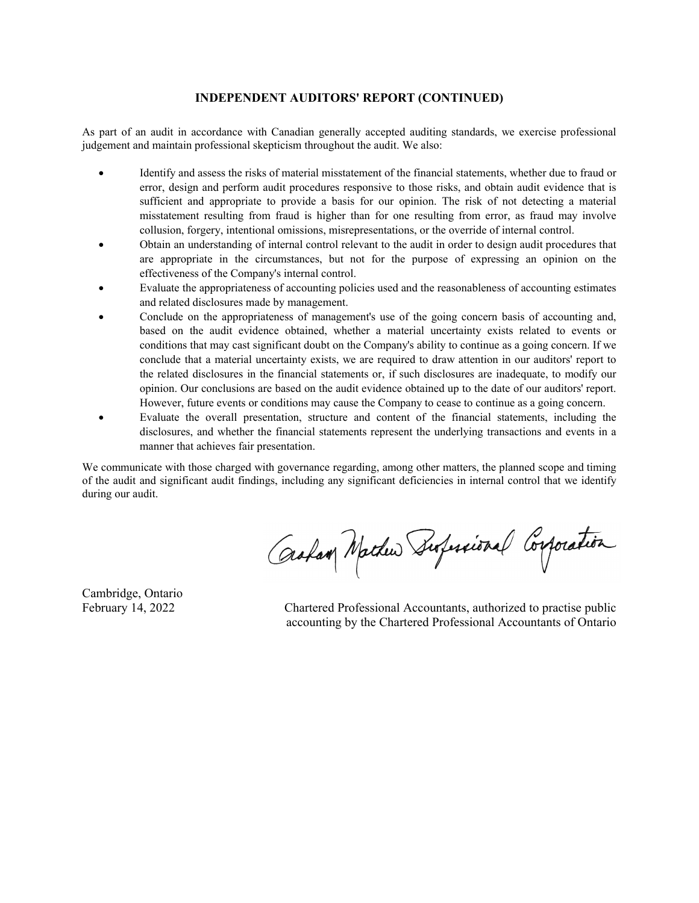## **INDEPENDENT AUDITORS' REPORT (CONTINUED)**

As part of an audit in accordance with Canadian generally accepted auditing standards, we exercise professional judgement and maintain professional skepticism throughout the audit. We also:

- Identify and assess the risks of material misstatement of the financial statements, whether due to fraud or error, design and perform audit procedures responsive to those risks, and obtain audit evidence that is sufficient and appropriate to provide a basis for our opinion. The risk of not detecting a material misstatement resulting from fraud is higher than for one resulting from error, as fraud may involve collusion, forgery, intentional omissions, misrepresentations, or the override of internal control.
- Obtain an understanding of internal control relevant to the audit in order to design audit procedures that are appropriate in the circumstances, but not for the purpose of expressing an opinion on the effectiveness of the Company's internal control.
- Evaluate the appropriateness of accounting policies used and the reasonableness of accounting estimates and related disclosures made by management.
- Conclude on the appropriateness of management's use of the going concern basis of accounting and, based on the audit evidence obtained, whether a material uncertainty exists related to events or conditions that may cast significant doubt on the Company's ability to continue as a going concern. If we conclude that a material uncertainty exists, we are required to draw attention in our auditors' report to the related disclosures in the financial statements or, if such disclosures are inadequate, to modify our opinion. Our conclusions are based on the audit evidence obtained up to the date of our auditors' report. However, future events or conditions may cause the Company to cease to continue as a going concern.
- Evaluate the overall presentation, structure and content of the financial statements, including the disclosures, and whether the financial statements represent the underlying transactions and events in a manner that achieves fair presentation.

We communicate with those charged with governance regarding, among other matters, the planned scope and timing of the audit and significant audit findings, including any significant deficiencies in internal control that we identify during our audit.

Graham Nather Berfessional Corporation

Cambridge, Ontario

February 14, 2022 Chartered Professional Accountants, authorized to practise public accounting by the Chartered Professional Accountants of Ontario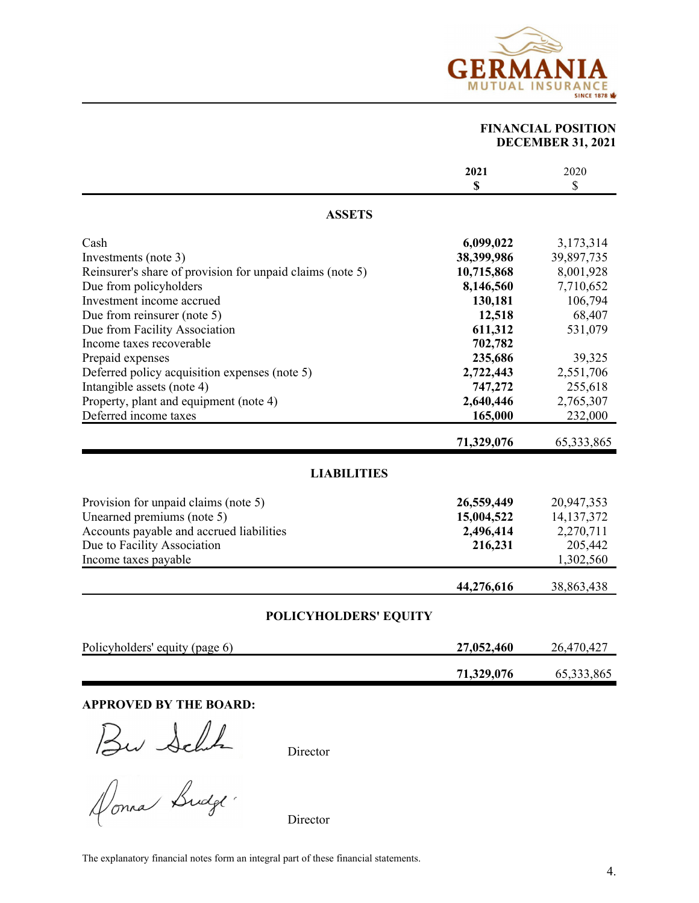

# **FINANCIAL POSITION DECEMBER 31, 2021**

|                                                           | 2021       | 2020         |
|-----------------------------------------------------------|------------|--------------|
|                                                           | \$         | \$           |
| <b>ASSETS</b>                                             |            |              |
| Cash                                                      | 6,099,022  | 3,173,314    |
| Investments (note 3)                                      | 38,399,986 | 39,897,735   |
| Reinsurer's share of provision for unpaid claims (note 5) | 10,715,868 | 8,001,928    |
| Due from policyholders                                    | 8,146,560  | 7,710,652    |
| Investment income accrued                                 | 130,181    | 106,794      |
| Due from reinsurer (note 5)                               | 12,518     | 68,407       |
| Due from Facility Association                             | 611,312    | 531,079      |
| Income taxes recoverable                                  | 702,782    |              |
| Prepaid expenses                                          | 235,686    | 39,325       |
| Deferred policy acquisition expenses (note 5)             | 2,722,443  | 2,551,706    |
| Intangible assets (note 4)                                | 747,272    | 255,618      |
| Property, plant and equipment (note 4)                    | 2,640,446  | 2,765,307    |
| Deferred income taxes                                     | 165,000    | 232,000      |
|                                                           | 71,329,076 | 65, 333, 865 |
| <b>LIABILITIES</b>                                        |            |              |
| Provision for unpaid claims (note 5)                      | 26,559,449 | 20,947,353   |
| Unearned premiums (note 5)                                | 15,004,522 | 14, 137, 372 |
| Accounts payable and accrued liabilities                  | 2,496,414  | 2,270,711    |
| Due to Facility Association                               | 216,231    | 205,442      |
| Income taxes payable                                      |            | 1,302,560    |
|                                                           | 44,276,616 | 38,863,438   |
| POLICYHOLDERS' EQUITY                                     |            |              |
| Policyholders' equity (page 6)                            | 27,052,460 | 26,470,427   |
|                                                           |            | 65, 333, 865 |

# **APPROVED BY THE BOARD:**

Director

Director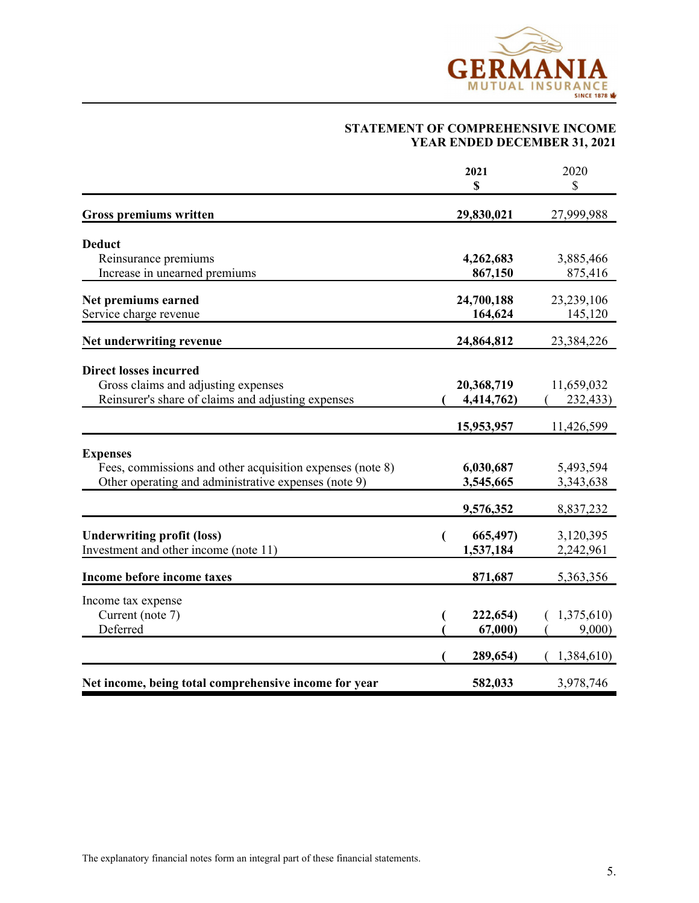

# **STATEMENT OF COMPREHENSIVE INCOME YEAR ENDED DECEMBER 31, 2021**

|                                                                                           |                | 2021                     | 2020                   |
|-------------------------------------------------------------------------------------------|----------------|--------------------------|------------------------|
|                                                                                           |                | \$                       | S                      |
| <b>Gross premiums written</b>                                                             |                | 29,830,021               | 27,999,988             |
| <b>Deduct</b>                                                                             |                |                          |                        |
| Reinsurance premiums                                                                      |                | 4,262,683                | 3,885,466              |
| Increase in unearned premiums                                                             |                | 867,150                  | 875,416                |
| Net premiums earned                                                                       |                | 24,700,188               | 23,239,106             |
| Service charge revenue                                                                    |                | 164,624                  | 145,120                |
| Net underwriting revenue                                                                  |                | 24,864,812               | 23,384,226             |
|                                                                                           |                |                          |                        |
| <b>Direct losses incurred</b>                                                             |                |                          |                        |
| Gross claims and adjusting expenses<br>Reinsurer's share of claims and adjusting expenses |                | 20,368,719<br>4,414,762) | 11,659,032<br>232,433) |
|                                                                                           |                |                          |                        |
|                                                                                           |                | 15,953,957               | 11,426,599             |
| <b>Expenses</b>                                                                           |                |                          |                        |
| Fees, commissions and other acquisition expenses (note 8)                                 |                | 6,030,687                | 5,493,594              |
| Other operating and administrative expenses (note 9)                                      |                | 3,545,665                | 3,343,638              |
|                                                                                           |                | 9,576,352                | 8,837,232              |
|                                                                                           |                |                          |                        |
| <b>Underwriting profit (loss)</b>                                                         | $\overline{(}$ | 665,497)                 | 3,120,395              |
| Investment and other income (note 11)                                                     |                | 1,537,184                | 2,242,961              |
| Income before income taxes                                                                |                | 871,687                  | 5,363,356              |
| Income tax expense                                                                        |                |                          |                        |
| Current (note 7)                                                                          |                | 222,654)                 | 1,375,610)             |
| Deferred                                                                                  |                | 67,000)                  | 9,000                  |
|                                                                                           |                | 289,654)                 | 1,384,610)             |
|                                                                                           |                | 582,033                  |                        |
| Net income, being total comprehensive income for year                                     |                |                          | 3,978,746              |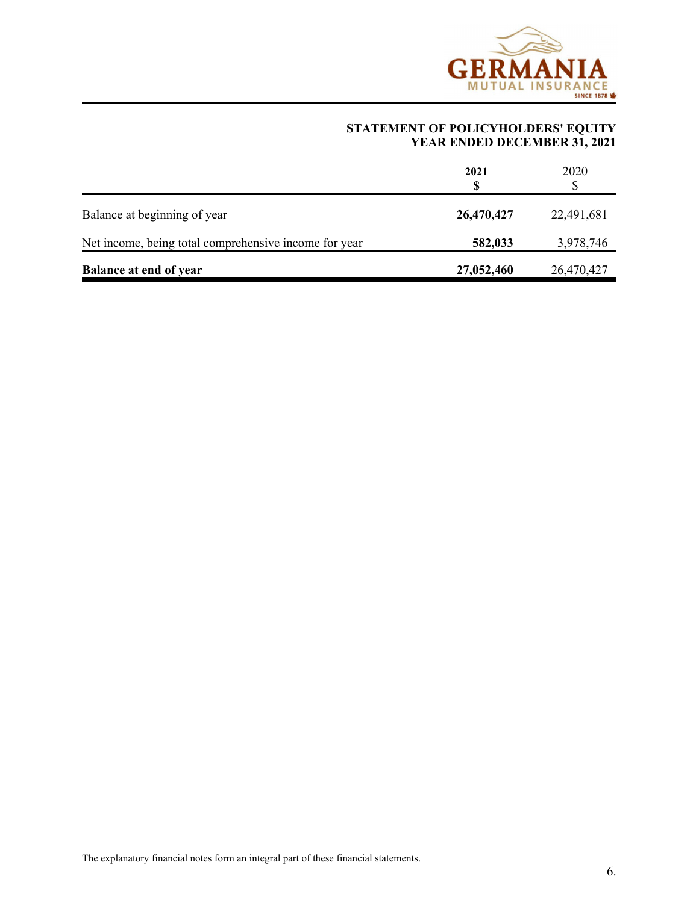

# **STATEMENT OF POLICYHOLDERS' EQUITY YEAR ENDED DECEMBER 31, 2021**

|                                                       | 2021       | 2020       |
|-------------------------------------------------------|------------|------------|
| Balance at beginning of year                          | 26,470,427 | 22,491,681 |
| Net income, being total comprehensive income for year | 582,033    | 3,978,746  |
| <b>Balance at end of year</b>                         | 27,052,460 | 26,470,427 |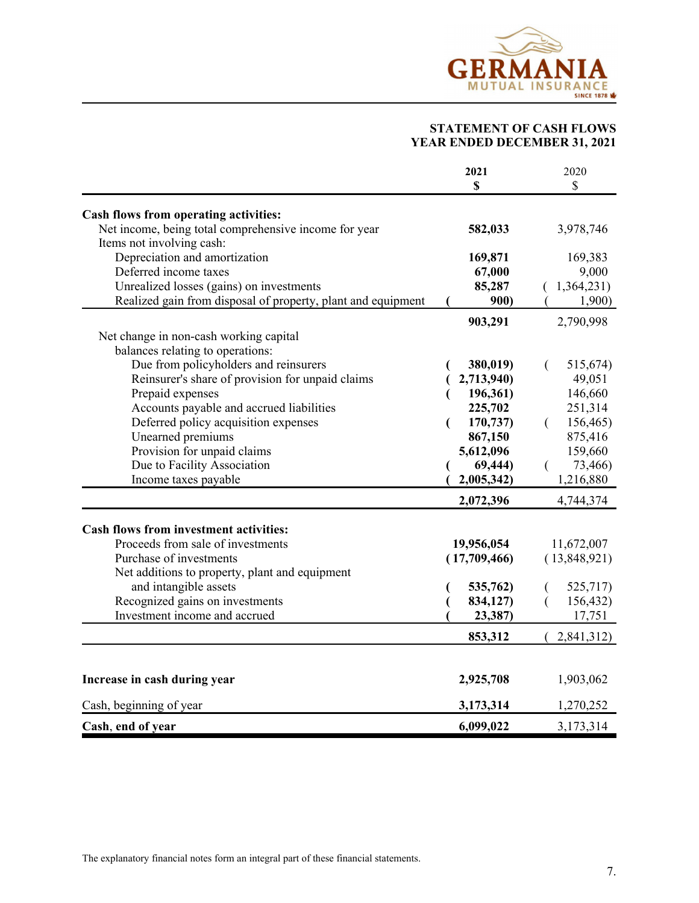

# **STATEMENT OF CASH FLOWS YEAR ENDED DECEMBER 31, 2021**

|                                                              | 2021<br>\$   | 2020<br>$\mathbb{S}$ |
|--------------------------------------------------------------|--------------|----------------------|
| Cash flows from operating activities:                        |              |                      |
| Net income, being total comprehensive income for year        | 582,033      | 3,978,746            |
| Items not involving cash:                                    |              |                      |
| Depreciation and amortization                                | 169,871      | 169,383              |
| Deferred income taxes                                        | 67,000       | 9,000                |
| Unrealized losses (gains) on investments                     | 85,287       | 1,364,231)           |
| Realized gain from disposal of property, plant and equipment | <b>900)</b>  | 1,900)               |
|                                                              | 903,291      | 2,790,998            |
| Net change in non-cash working capital                       |              |                      |
| balances relating to operations:                             |              |                      |
| Due from policyholders and reinsurers                        | 380,019)     | 515,674)             |
| Reinsurer's share of provision for unpaid claims             | 2,713,940)   | 49,051               |
| Prepaid expenses                                             | 196,361)     | 146,660              |
| Accounts payable and accrued liabilities                     | 225,702      | 251,314              |
| Deferred policy acquisition expenses                         | 170,737      | 156,465)             |
| Unearned premiums                                            | 867,150      | 875,416              |
| Provision for unpaid claims                                  | 5,612,096    | 159,660              |
| Due to Facility Association                                  | 69,444)      | 73,466)              |
| Income taxes payable                                         | 2,005,342)   | 1,216,880            |
|                                                              | 2,072,396    | 4,744,374            |
|                                                              |              |                      |
| <b>Cash flows from investment activities:</b>                |              |                      |
| Proceeds from sale of investments                            | 19,956,054   | 11,672,007           |
| Purchase of investments                                      | (17,709,466) | (13,848,921)         |
| Net additions to property, plant and equipment               |              |                      |
| and intangible assets                                        | 535,762)     | 525,717)             |
| Recognized gains on investments                              | 834,127)     | 156,432)             |
| Investment income and accrued                                | 23,387)      | 17,751               |
|                                                              | 853,312      | 2,841,312)           |
|                                                              |              |                      |
| Increase in cash during year                                 | 2,925,708    | 1,903,062            |
| Cash, beginning of year                                      | 3,173,314    | 1,270,252            |
| Cash, end of year                                            | 6,099,022    | 3,173,314            |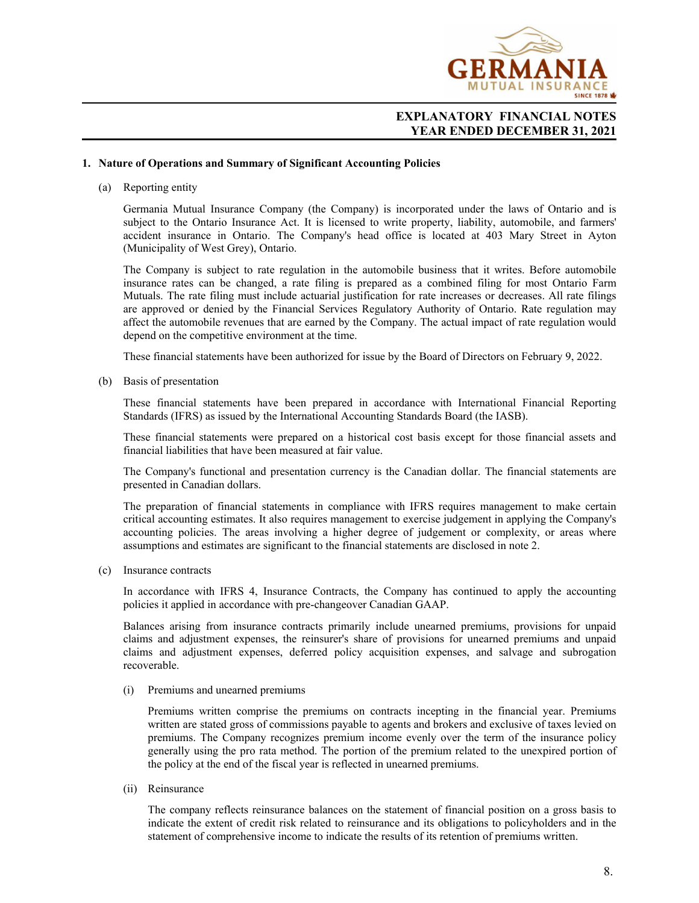

### **1. Nature of Operations and Summary of Significant Accounting Policies**

#### (a) Reporting entity

Germania Mutual Insurance Company (the Company) is incorporated under the laws of Ontario and is subject to the Ontario Insurance Act. It is licensed to write property, liability, automobile, and farmers' accident insurance in Ontario. The Company's head office is located at 403 Mary Street in Ayton (Municipality of West Grey), Ontario.

The Company is subject to rate regulation in the automobile business that it writes. Before automobile insurance rates can be changed, a rate filing is prepared as a combined filing for most Ontario Farm Mutuals. The rate filing must include actuarial justification for rate increases or decreases. All rate filings are approved or denied by the Financial Services Regulatory Authority of Ontario. Rate regulation may affect the automobile revenues that are earned by the Company. The actual impact of rate regulation would depend on the competitive environment at the time.

These financial statements have been authorized for issue by the Board of Directors on February 9, 2022.

(b) Basis of presentation

These financial statements have been prepared in accordance with International Financial Reporting Standards (IFRS) as issued by the International Accounting Standards Board (the IASB).

These financial statements were prepared on a historical cost basis except for those financial assets and financial liabilities that have been measured at fair value.

The Company's functional and presentation currency is the Canadian dollar. The financial statements are presented in Canadian dollars.

The preparation of financial statements in compliance with IFRS requires management to make certain critical accounting estimates. It also requires management to exercise judgement in applying the Company's accounting policies. The areas involving a higher degree of judgement or complexity, or areas where assumptions and estimates are significant to the financial statements are disclosed in note 2.

(c) Insurance contracts

In accordance with IFRS 4, Insurance Contracts, the Company has continued to apply the accounting policies it applied in accordance with pre-changeover Canadian GAAP.

Balances arising from insurance contracts primarily include unearned premiums, provisions for unpaid claims and adjustment expenses, the reinsurer's share of provisions for unearned premiums and unpaid claims and adjustment expenses, deferred policy acquisition expenses, and salvage and subrogation recoverable.

(i) Premiums and unearned premiums

Premiums written comprise the premiums on contracts incepting in the financial year. Premiums written are stated gross of commissions payable to agents and brokers and exclusive of taxes levied on premiums. The Company recognizes premium income evenly over the term of the insurance policy generally using the pro rata method. The portion of the premium related to the unexpired portion of the policy at the end of the fiscal year is reflected in unearned premiums.

(ii) Reinsurance

The company reflects reinsurance balances on the statement of financial position on a gross basis to indicate the extent of credit risk related to reinsurance and its obligations to policyholders and in the statement of comprehensive income to indicate the results of its retention of premiums written.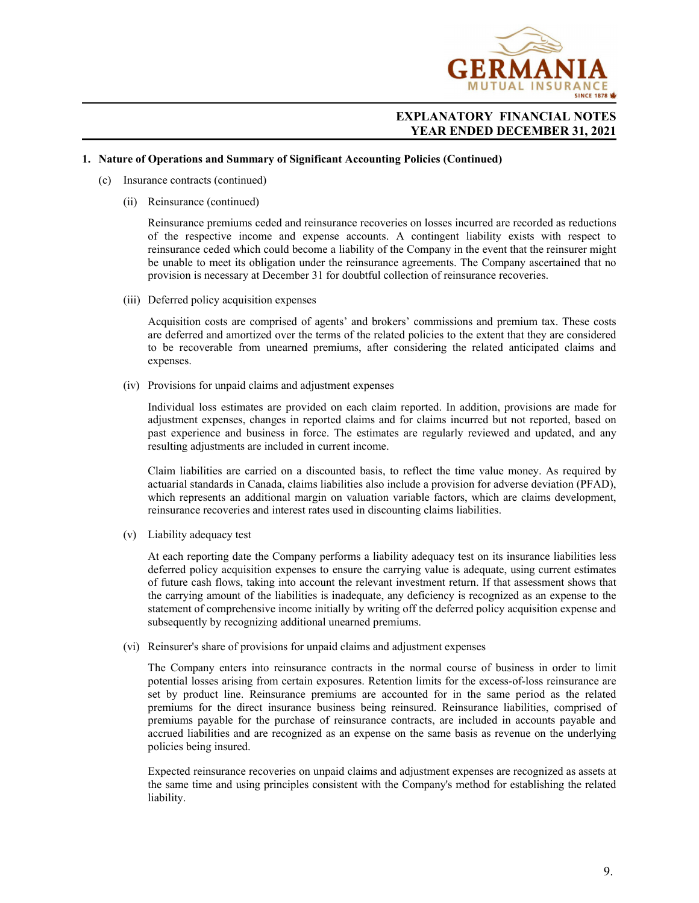

### **1. Nature of Operations and Summary of Significant Accounting Policies (Continued)**

- (c) Insurance contracts (continued)
	- (ii) Reinsurance (continued)

Reinsurance premiums ceded and reinsurance recoveries on losses incurred are recorded as reductions of the respective income and expense accounts. A contingent liability exists with respect to reinsurance ceded which could become a liability of the Company in the event that the reinsurer might be unable to meet its obligation under the reinsurance agreements. The Company ascertained that no provision is necessary at December 31 for doubtful collection of reinsurance recoveries.

(iii) Deferred policy acquisition expenses

Acquisition costs are comprised of agents' and brokers' commissions and premium tax. These costs are deferred and amortized over the terms of the related policies to the extent that they are considered to be recoverable from unearned premiums, after considering the related anticipated claims and expenses.

(iv) Provisions for unpaid claims and adjustment expenses

Individual loss estimates are provided on each claim reported. In addition, provisions are made for adjustment expenses, changes in reported claims and for claims incurred but not reported, based on past experience and business in force. The estimates are regularly reviewed and updated, and any resulting adjustments are included in current income.

Claim liabilities are carried on a discounted basis, to reflect the time value money. As required by actuarial standards in Canada, claims liabilities also include a provision for adverse deviation (PFAD), which represents an additional margin on valuation variable factors, which are claims development, reinsurance recoveries and interest rates used in discounting claims liabilities.

(v) Liability adequacy test

At each reporting date the Company performs a liability adequacy test on its insurance liabilities less deferred policy acquisition expenses to ensure the carrying value is adequate, using current estimates of future cash flows, taking into account the relevant investment return. If that assessment shows that the carrying amount of the liabilities is inadequate, any deficiency is recognized as an expense to the statement of comprehensive income initially by writing off the deferred policy acquisition expense and subsequently by recognizing additional unearned premiums.

(vi) Reinsurer's share of provisions for unpaid claims and adjustment expenses

The Company enters into reinsurance contracts in the normal course of business in order to limit potential losses arising from certain exposures. Retention limits for the excess-of-loss reinsurance are set by product line. Reinsurance premiums are accounted for in the same period as the related premiums for the direct insurance business being reinsured. Reinsurance liabilities, comprised of premiums payable for the purchase of reinsurance contracts, are included in accounts payable and accrued liabilities and are recognized as an expense on the same basis as revenue on the underlying policies being insured.

Expected reinsurance recoveries on unpaid claims and adjustment expenses are recognized as assets at the same time and using principles consistent with the Company's method for establishing the related liability.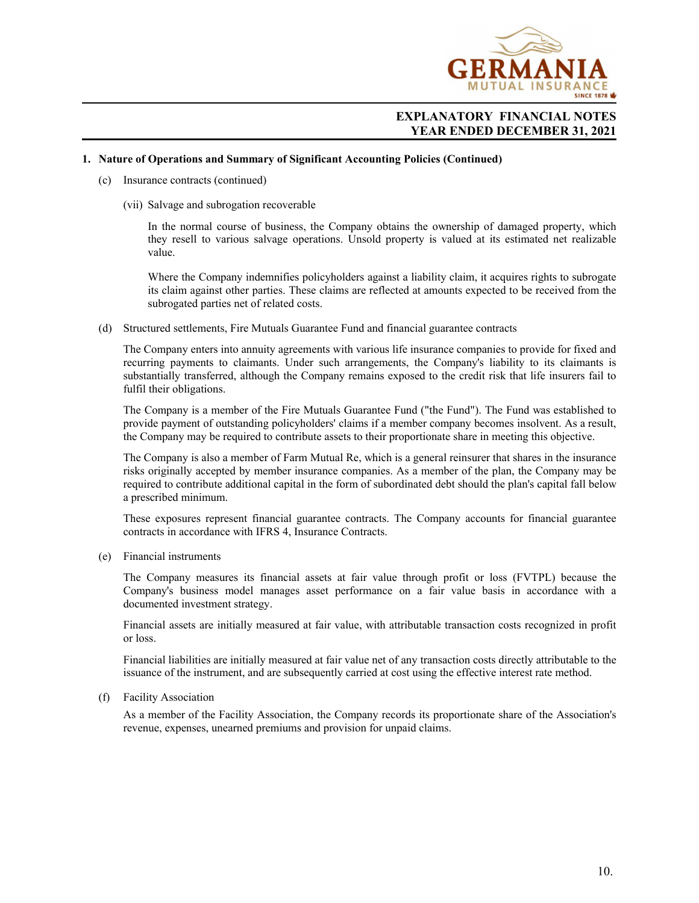

### **1. Nature of Operations and Summary of Significant Accounting Policies (Continued)**

- (c) Insurance contracts (continued)
	- (vii) Salvage and subrogation recoverable

In the normal course of business, the Company obtains the ownership of damaged property, which they resell to various salvage operations. Unsold property is valued at its estimated net realizable value.

Where the Company indemnifies policyholders against a liability claim, it acquires rights to subrogate its claim against other parties. These claims are reflected at amounts expected to be received from the subrogated parties net of related costs.

(d) Structured settlements, Fire Mutuals Guarantee Fund and financial guarantee contracts

The Company enters into annuity agreements with various life insurance companies to provide for fixed and recurring payments to claimants. Under such arrangements, the Company's liability to its claimants is substantially transferred, although the Company remains exposed to the credit risk that life insurers fail to fulfil their obligations.

The Company is a member of the Fire Mutuals Guarantee Fund ("the Fund"). The Fund was established to provide payment of outstanding policyholders' claims if a member company becomes insolvent. As a result, the Company may be required to contribute assets to their proportionate share in meeting this objective.

The Company is also a member of Farm Mutual Re, which is a general reinsurer that shares in the insurance risks originally accepted by member insurance companies. As a member of the plan, the Company may be required to contribute additional capital in the form of subordinated debt should the plan's capital fall below a prescribed minimum.

These exposures represent financial guarantee contracts. The Company accounts for financial guarantee contracts in accordance with IFRS 4, Insurance Contracts.

(e) Financial instruments

The Company measures its financial assets at fair value through profit or loss (FVTPL) because the Company's business model manages asset performance on a fair value basis in accordance with a documented investment strategy.

Financial assets are initially measured at fair value, with attributable transaction costs recognized in profit or loss.

Financial liabilities are initially measured at fair value net of any transaction costs directly attributable to the issuance of the instrument, and are subsequently carried at cost using the effective interest rate method.

(f) Facility Association

As a member of the Facility Association, the Company records its proportionate share of the Association's revenue, expenses, unearned premiums and provision for unpaid claims.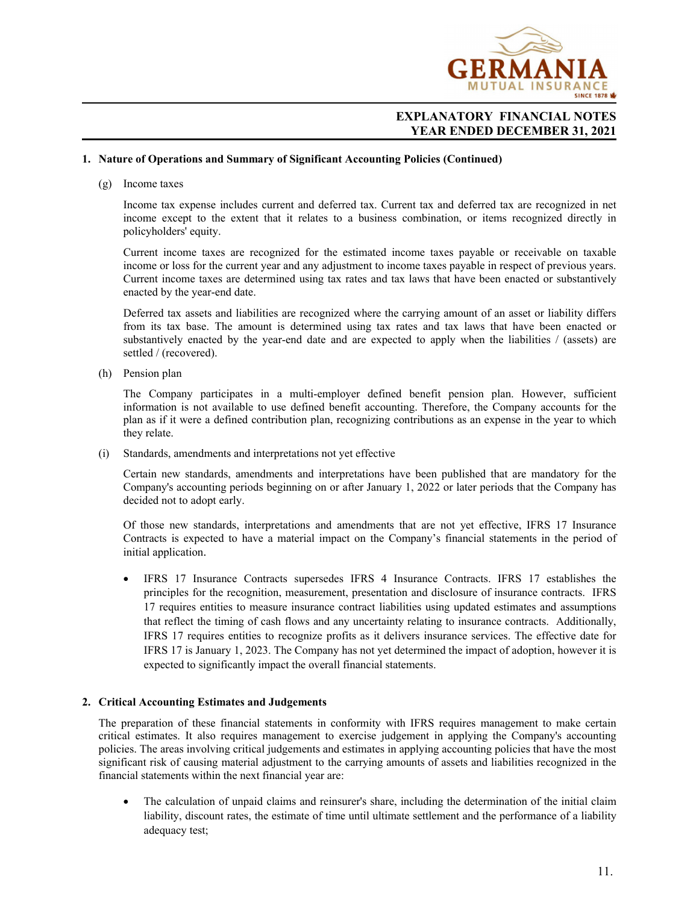

### **1. Nature of Operations and Summary of Significant Accounting Policies (Continued)**

(g) Income taxes

Income tax expense includes current and deferred tax. Current tax and deferred tax are recognized in net income except to the extent that it relates to a business combination, or items recognized directly in policyholders' equity.

Current income taxes are recognized for the estimated income taxes payable or receivable on taxable income or loss for the current year and any adjustment to income taxes payable in respect of previous years. Current income taxes are determined using tax rates and tax laws that have been enacted or substantively enacted by the year-end date.

Deferred tax assets and liabilities are recognized where the carrying amount of an asset or liability differs from its tax base. The amount is determined using tax rates and tax laws that have been enacted or substantively enacted by the year-end date and are expected to apply when the liabilities / (assets) are settled / (recovered).

(h) Pension plan

The Company participates in a multi-employer defined benefit pension plan. However, sufficient information is not available to use defined benefit accounting. Therefore, the Company accounts for the plan as if it were a defined contribution plan, recognizing contributions as an expense in the year to which they relate.

(i) Standards, amendments and interpretations not yet effective

Certain new standards, amendments and interpretations have been published that are mandatory for the Company's accounting periods beginning on or after January 1, 2022 or later periods that the Company has decided not to adopt early.

Of those new standards, interpretations and amendments that are not yet effective, IFRS 17 Insurance Contracts is expected to have a material impact on the Company's financial statements in the period of initial application.

 IFRS 17 Insurance Contracts supersedes IFRS 4 Insurance Contracts. IFRS 17 establishes the principles for the recognition, measurement, presentation and disclosure of insurance contracts. IFRS 17 requires entities to measure insurance contract liabilities using updated estimates and assumptions that reflect the timing of cash flows and any uncertainty relating to insurance contracts. Additionally, IFRS 17 requires entities to recognize profits as it delivers insurance services. The effective date for IFRS 17 is January 1, 2023. The Company has not yet determined the impact of adoption, however it is expected to significantly impact the overall financial statements.

## **2. Critical Accounting Estimates and Judgements**

The preparation of these financial statements in conformity with IFRS requires management to make certain critical estimates. It also requires management to exercise judgement in applying the Company's accounting policies. The areas involving critical judgements and estimates in applying accounting policies that have the most significant risk of causing material adjustment to the carrying amounts of assets and liabilities recognized in the financial statements within the next financial year are:

• The calculation of unpaid claims and reinsurer's share, including the determination of the initial claim liability, discount rates, the estimate of time until ultimate settlement and the performance of a liability adequacy test;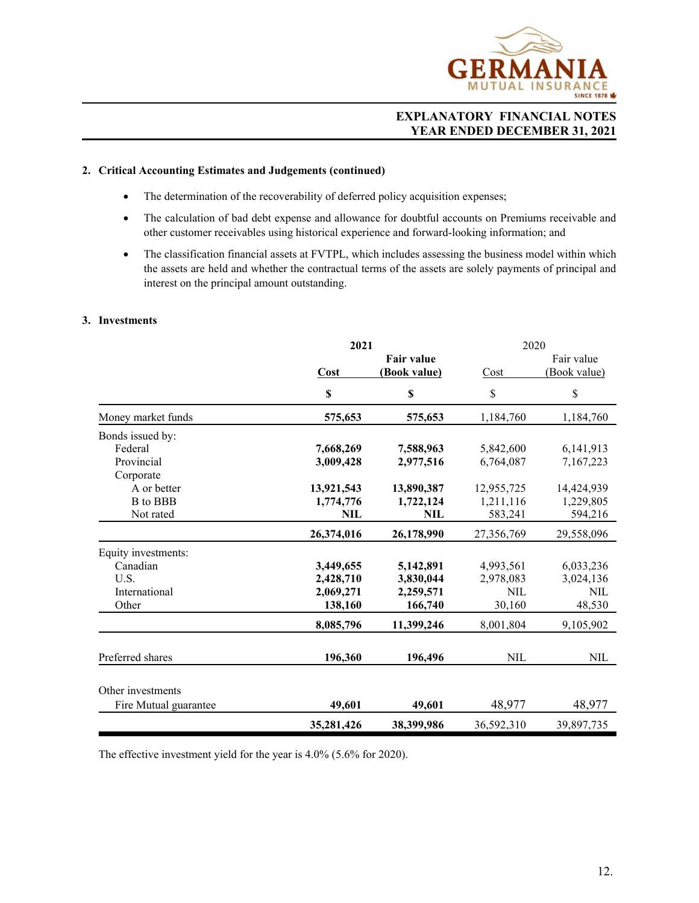

### **2. Critical Accounting Estimates and Judgements (continued)**

- The determination of the recoverability of deferred policy acquisition expenses;
- The calculation of bad debt expense and allowance for doubtful accounts on Premiums receivable and other customer receivables using historical experience and forward-looking information; and
- The classification financial assets at FVTPL, which includes assessing the business model within which the assets are held and whether the contractual terms of the assets are solely payments of principal and interest on the principal amount outstanding.

## **3. Investments**

|                       | 2021              |              | 2020       |              |
|-----------------------|-------------------|--------------|------------|--------------|
|                       | <b>Fair value</b> |              |            | Fair value   |
|                       | Cost              | (Book value) | Cost       | (Book value) |
|                       | \$                | \$           | \$         | \$           |
| Money market funds    | 575,653           | 575,653      | 1,184,760  | 1,184,760    |
| Bonds issued by:      |                   |              |            |              |
| Federal               | 7,668,269         | 7,588,963    | 5,842,600  | 6,141,913    |
| Provincial            | 3,009,428         | 2,977,516    | 6,764,087  | 7,167,223    |
| Corporate             |                   |              |            |              |
| A or better           | 13,921,543        | 13,890,387   | 12,955,725 | 14,424,939   |
| <b>B</b> to BBB       | 1,774,776         | 1,722,124    | 1,211,116  | 1,229,805    |
| Not rated             | <b>NIL</b>        | NIL          | 583,241    | 594,216      |
|                       | 26,374,016        | 26,178,990   | 27,356,769 | 29,558,096   |
| Equity investments:   |                   |              |            |              |
| Canadian              | 3,449,655         | 5,142,891    | 4,993,561  | 6,033,236    |
| U.S.                  | 2,428,710         | 3,830,044    | 2,978,083  | 3,024,136    |
| International         | 2,069,271         | 2,259,571    | <b>NIL</b> | <b>NIL</b>   |
| Other                 | 138,160           | 166,740      | 30,160     | 48,530       |
|                       | 8,085,796         | 11,399,246   | 8,001,804  | 9,105,902    |
|                       |                   |              |            |              |
| Preferred shares      | 196,360           | 196,496      | <b>NIL</b> | $\text{NIL}$ |
|                       |                   |              |            |              |
| Other investments     |                   |              |            |              |
| Fire Mutual guarantee | 49,601            | 49,601       | 48,977     | 48,977       |
|                       | 35,281,426        | 38,399,986   | 36,592,310 | 39,897,735   |

The effective investment yield for the year is 4.0% (5.6% for 2020).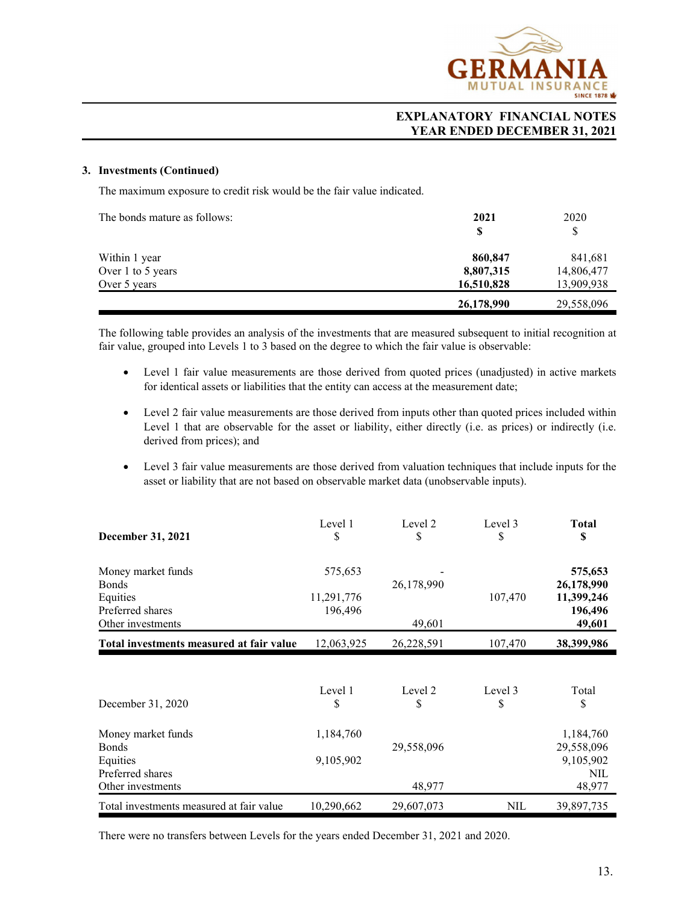

### **3. Investments (Continued)**

The maximum exposure to credit risk would be the fair value indicated.

| The bonds mature as follows: | 2021       | 2020       |
|------------------------------|------------|------------|
| Within 1 year                | 860,847    | 841,681    |
| Over 1 to 5 years            | 8,807,315  | 14,806,477 |
| Over 5 years                 | 16,510,828 | 13,909,938 |
|                              | 26,178,990 | 29,558,096 |

The following table provides an analysis of the investments that are measured subsequent to initial recognition at fair value, grouped into Levels 1 to 3 based on the degree to which the fair value is observable:

- Level 1 fair value measurements are those derived from quoted prices (unadjusted) in active markets for identical assets or liabilities that the entity can access at the measurement date;
- Level 2 fair value measurements are those derived from inputs other than quoted prices included within Level 1 that are observable for the asset or liability, either directly (i.e. as prices) or indirectly (i.e. derived from prices); and
- Level 3 fair value measurements are those derived from valuation techniques that include inputs for the asset or liability that are not based on observable market data (unobservable inputs).

| <b>December 31, 2021</b>                 | Level 1<br>\$ | Level 2<br>\$ | Level 3<br>\$ | <b>Total</b><br>\$      |
|------------------------------------------|---------------|---------------|---------------|-------------------------|
| Money market funds<br><b>Bonds</b>       | 575,653       | 26,178,990    |               | 575,653<br>26,178,990   |
| Equities                                 | 11,291,776    |               | 107,470       | 11,399,246              |
| Preferred shares                         | 196,496       |               |               | 196,496                 |
| Other investments                        |               | 49,601        |               | 49,601                  |
| Total investments measured at fair value | 12,063,925    | 26,228,591    | 107,470       | 38,399,986              |
| December 31, 2020                        | Level 1<br>\$ | Level 2<br>\$ | Level 3<br>\$ | Total<br>\$             |
| Money market funds<br>Bonds              | 1,184,760     | 29,558,096    |               | 1,184,760<br>29,558,096 |
| Equities                                 | 9,105,902     |               |               | 9,105,902               |
| Preferred shares                         |               |               |               | <b>NIL</b>              |
| Other investments                        |               | 48,977        |               | 48,977                  |
| Total investments measured at fair value | 10,290,662    | 29,607,073    | <b>NIL</b>    | 39,897,735              |

There were no transfers between Levels for the years ended December 31, 2021 and 2020.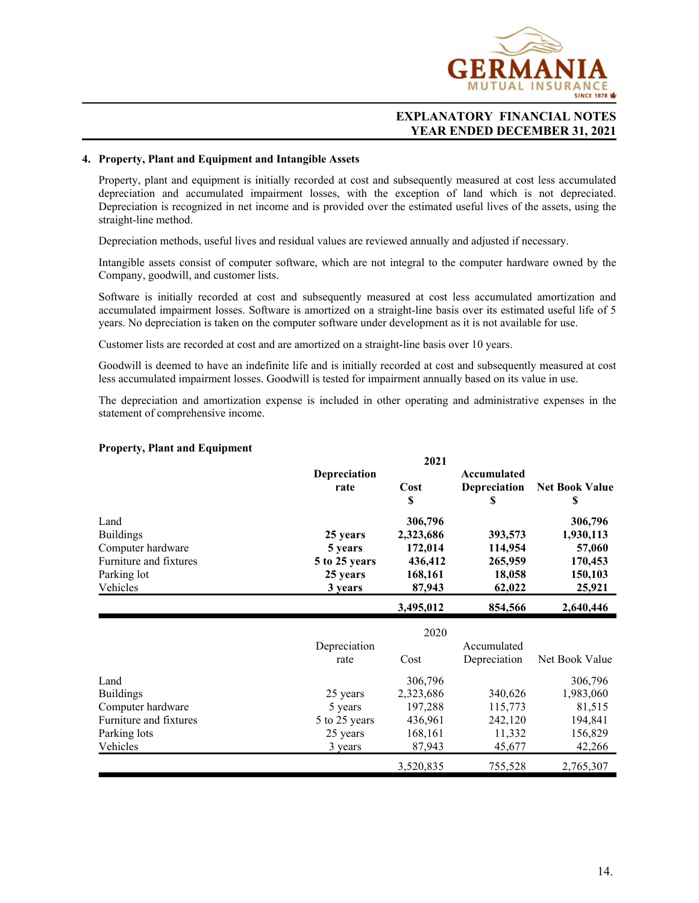

### **4. Property, Plant and Equipment and Intangible Assets**

Property, plant and equipment is initially recorded at cost and subsequently measured at cost less accumulated depreciation and accumulated impairment losses, with the exception of land which is not depreciated. Depreciation is recognized in net income and is provided over the estimated useful lives of the assets, using the straight-line method.

Depreciation methods, useful lives and residual values are reviewed annually and adjusted if necessary.

Intangible assets consist of computer software, which are not integral to the computer hardware owned by the Company, goodwill, and customer lists.

Software is initially recorded at cost and subsequently measured at cost less accumulated amortization and accumulated impairment losses. Software is amortized on a straight-line basis over its estimated useful life of 5 years. No depreciation is taken on the computer software under development as it is not available for use.

Customer lists are recorded at cost and are amortized on a straight-line basis over 10 years.

Goodwill is deemed to have an indefinite life and is initially recorded at cost and subsequently measured at cost less accumulated impairment losses. Goodwill is tested for impairment annually based on its value in use.

The depreciation and amortization expense is included in other operating and administrative expenses in the statement of comprehensive income.

### **Property, Plant and Equipment**

|                        |               | 2021      |              |                       |
|------------------------|---------------|-----------|--------------|-----------------------|
|                        | Depreciation  |           | Accumulated  |                       |
|                        | rate          | Cost      | Depreciation | <b>Net Book Value</b> |
|                        |               | \$        | \$           | S                     |
| Land                   |               | 306,796   |              | 306,796               |
| <b>Buildings</b>       | 25 years      | 2,323,686 | 393,573      | 1,930,113             |
| Computer hardware      | 5 years       | 172,014   | 114,954      | 57,060                |
| Furniture and fixtures | 5 to 25 years | 436,412   | 265,959      | 170,453               |
| Parking lot            | 25 years      | 168,161   | 18,058       | 150,103               |
| Vehicles               | 3 years       | 87,943    | 62,022       | 25,921                |
|                        |               | 3,495,012 | 854,566      | 2,640,446             |
|                        |               |           |              |                       |
|                        |               | 2020      |              |                       |
|                        | Depreciation  |           | Accumulated  |                       |
|                        | rate          | Cost      | Depreciation | Net Book Value        |
| Land                   |               | 306,796   |              | 306,796               |
| <b>Buildings</b>       | 25 years      | 2,323,686 | 340,626      | 1,983,060             |
| Computer hardware      | 5 years       | 197,288   | 115,773      | 81,515                |
| Furniture and fixtures | 5 to 25 years | 436,961   | 242,120      | 194,841               |
| Parking lots           | 25 years      | 168,161   | 11,332       | 156,829               |
| Vehicles               | 3 years       | 87,943    | 45,677       | 42,266                |
|                        |               | 3,520,835 | 755,528      | 2,765,307             |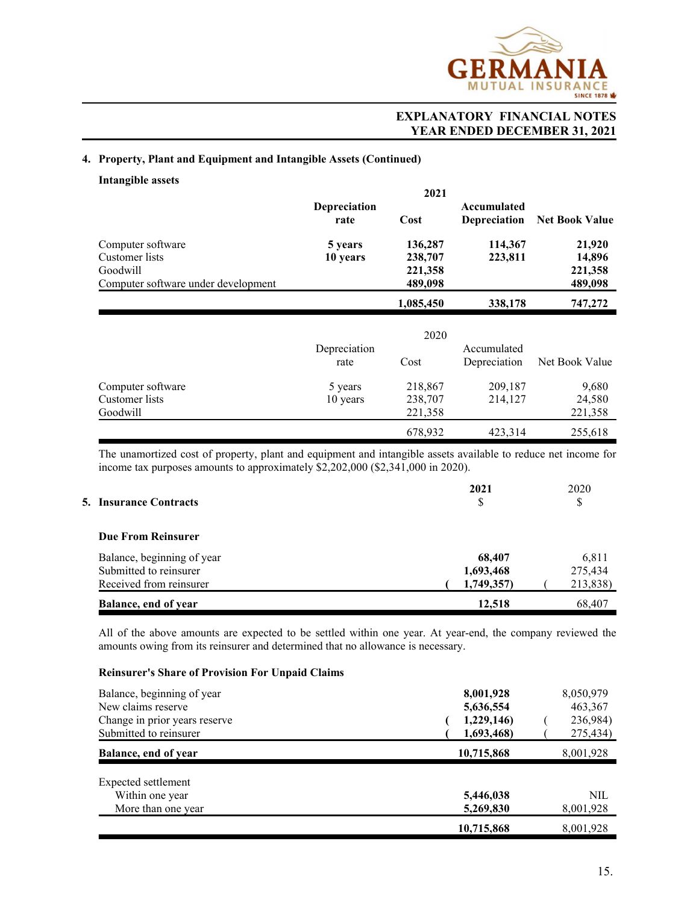

### **4. Property, Plant and Equipment and Intangible Assets (Continued)**

**Intangible assets**

|                                                                   |                      | 2021                          |                                    |                              |
|-------------------------------------------------------------------|----------------------|-------------------------------|------------------------------------|------------------------------|
|                                                                   | Depreciation<br>rate | Cost                          | Accumulated<br><b>Depreciation</b> | <b>Net Book Value</b>        |
| Computer software                                                 | 5 years              | 136,287                       | 114,367                            | 21,920                       |
| Customer lists<br>Goodwill<br>Computer software under development | 10 years             | 238,707<br>221,358<br>489,098 | 223,811                            | 14,896<br>221,358<br>489,098 |
|                                                                   |                      | 1,085,450                     | 338,178                            | 747,272                      |
|                                                                   |                      | 2020                          |                                    |                              |
|                                                                   | Depreciation<br>rate | Cost                          | Accumulated<br>Depreciation        | Net Book Value               |
| Computer software                                                 | 5 years              | 218,867                       | 209,187                            | 9,680                        |
| Customer lists<br>Goodwill                                        | 10 years             | 238,707<br>221,358            | 214,127                            | 24,580<br>221,358            |
|                                                                   |                      | 678,932                       | 423,314                            | 255,618                      |

The unamortized cost of property, plant and equipment and intangible assets available to reduce net income for income tax purposes amounts to approximately \$2,202,000 (\$2,341,000 in 2020).

| <b>5. Insurance Contracts</b> | 2021<br>\$ | 2020<br>\$ |
|-------------------------------|------------|------------|
| <b>Due From Reinsurer</b>     |            |            |
| Balance, beginning of year    | 68,407     | 6,811      |
| Submitted to reinsurer        | 1,693,468  | 275,434    |
| Received from reinsurer       | 1,749,357) | 213,838)   |
| Balance, end of year          | 12,518     | 68,407     |

All of the above amounts are expected to be settled within one year. At year-end, the company reviewed the amounts owing from its reinsurer and determined that no allowance is necessary.

## **Reinsurer's Share of Provision For Unpaid Claims**

| Balance, beginning of year<br>New claims reserve<br>Change in prior years reserve<br>Submitted to reinsurer | 8,001,928<br>5,636,554<br>1,229,146)<br>1,693,468) | 8,050,979<br>463,367<br>236,984)<br>275,434) |
|-------------------------------------------------------------------------------------------------------------|----------------------------------------------------|----------------------------------------------|
| <b>Balance, end of year</b>                                                                                 | 10,715,868                                         | 8,001,928                                    |
| Expected settlement<br>Within one year<br>More than one year                                                | 5,446,038<br>5,269,830                             | NIL<br>8,001,928                             |
|                                                                                                             | 10,715,868                                         | 8,001,928                                    |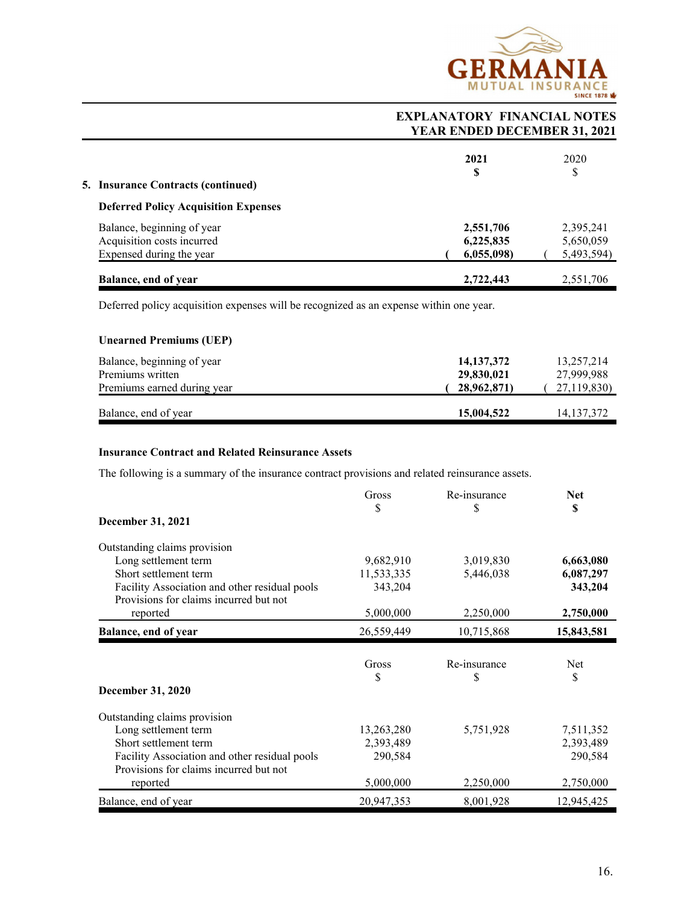

| 5. Insurance Contracts (continued)                                                   | 2021<br>S                            | 2020<br>\$                           |
|--------------------------------------------------------------------------------------|--------------------------------------|--------------------------------------|
| <b>Deferred Policy Acquisition Expenses</b>                                          |                                      |                                      |
| Balance, beginning of year<br>Acquisition costs incurred<br>Expensed during the year | 2,551,706<br>6,225,835<br>6,055,098) | 2,395,241<br>5,650,059<br>5,493,594) |
| Balance, end of year                                                                 | 2,722,443                            | 2,551,706                            |

Deferred policy acquisition expenses will be recognized as an expense within one year.

## **Unearned Premiums (UEP)**

| Balance, beginning of year  | 14, 137, 372 | 13,257,214   |
|-----------------------------|--------------|--------------|
| Premiums written            | 29,830,021   | 27,999,988   |
| Premiums earned during year | 28,962,871)  | 27,119,830)  |
| Balance, end of year        | 15,004,522   | 14, 137, 372 |

## **Insurance Contract and Related Reinsurance Assets**

The following is a summary of the insurance contract provisions and related reinsurance assets.

|                                               | Gross      | Re-insurance | <b>Net</b> |  |
|-----------------------------------------------|------------|--------------|------------|--|
|                                               | \$         | \$           | \$         |  |
| December 31, 2021                             |            |              |            |  |
| Outstanding claims provision                  |            |              |            |  |
| Long settlement term                          | 9,682,910  | 3,019,830    | 6,663,080  |  |
| Short settlement term                         | 11,533,335 | 5,446,038    | 6,087,297  |  |
| Facility Association and other residual pools | 343,204    |              | 343,204    |  |
| Provisions for claims incurred but not        |            |              |            |  |
| reported                                      | 5,000,000  | 2,250,000    | 2,750,000  |  |
| Balance, end of year                          | 26,559,449 | 10,715,868   | 15,843,581 |  |
|                                               |            |              |            |  |
|                                               | Gross      | Re-insurance | Net        |  |
|                                               | \$         | \$           | \$         |  |
| <b>December 31, 2020</b>                      |            |              |            |  |
| Outstanding claims provision                  |            |              |            |  |
| Long settlement term                          | 13,263,280 | 5,751,928    | 7,511,352  |  |
| Short settlement term                         | 2,393,489  |              | 2,393,489  |  |
| Facility Association and other residual pools | 290,584    |              | 290,584    |  |
| Provisions for claims incurred but not        |            |              |            |  |
| reported                                      | 5,000,000  | 2,250,000    | 2,750,000  |  |
| Balance, end of year                          | 20,947,353 | 8,001,928    | 12,945,425 |  |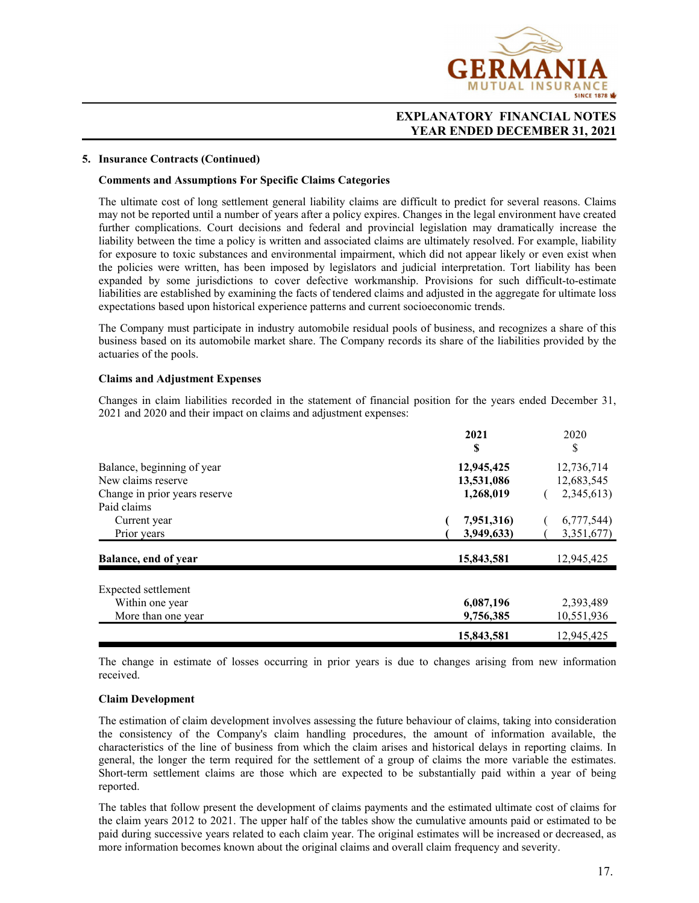

### **5. Insurance Contracts (Continued)**

### **Comments and Assumptions For Specific Claims Categories**

The ultimate cost of long settlement general liability claims are difficult to predict for several reasons. Claims may not be reported until a number of years after a policy expires. Changes in the legal environment have created further complications. Court decisions and federal and provincial legislation may dramatically increase the liability between the time a policy is written and associated claims are ultimately resolved. For example, liability for exposure to toxic substances and environmental impairment, which did not appear likely or even exist when the policies were written, has been imposed by legislators and judicial interpretation. Tort liability has been expanded by some jurisdictions to cover defective workmanship. Provisions for such difficult-to-estimate liabilities are established by examining the facts of tendered claims and adjusted in the aggregate for ultimate loss expectations based upon historical experience patterns and current socioeconomic trends.

The Company must participate in industry automobile residual pools of business, and recognizes a share of this business based on its automobile market share. The Company records its share of the liabilities provided by the actuaries of the pools.

### **Claims and Adjustment Expenses**

Changes in claim liabilities recorded in the statement of financial position for the years ended December 31, 2021 and 2020 and their impact on claims and adjustment expenses:

|                               | 2021<br>S  | 2020<br>\$. |
|-------------------------------|------------|-------------|
| Balance, beginning of year    | 12,945,425 | 12,736,714  |
| New claims reserve            | 13,531,086 | 12,683,545  |
| Change in prior years reserve | 1,268,019  | 2,345,613)  |
| Paid claims                   |            |             |
| Current year                  | 7,951,316) | 6,777,544)  |
| Prior years                   | 3,949,633) | 3,351,677)  |
| Balance, end of year          | 15,843,581 | 12,945,425  |
| Expected settlement           |            |             |
| Within one year               | 6,087,196  | 2,393,489   |
| More than one year            | 9,756,385  | 10,551,936  |
|                               | 15,843,581 | 12,945,425  |

The change in estimate of losses occurring in prior years is due to changes arising from new information received.

## **Claim Development**

The estimation of claim development involves assessing the future behaviour of claims, taking into consideration the consistency of the Company's claim handling procedures, the amount of information available, the characteristics of the line of business from which the claim arises and historical delays in reporting claims. In general, the longer the term required for the settlement of a group of claims the more variable the estimates. Short-term settlement claims are those which are expected to be substantially paid within a year of being reported.

The tables that follow present the development of claims payments and the estimated ultimate cost of claims for the claim years 2012 to 2021. The upper half of the tables show the cumulative amounts paid or estimated to be paid during successive years related to each claim year. The original estimates will be increased or decreased, as more information becomes known about the original claims and overall claim frequency and severity.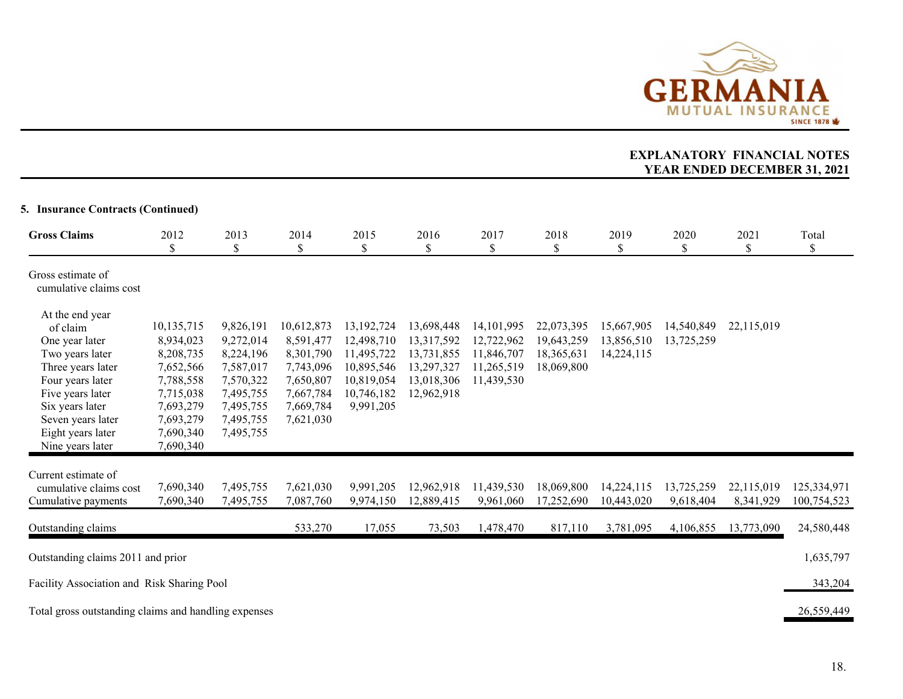

| Gross estimate of<br>cumulative claims cost<br>At the end year<br>10,135,715<br>9,826,191<br>10,612,873<br>13,192,724<br>22,073,395<br>15,667,905<br>14,540,849<br>13,698,448<br>14,101,995<br>of claim<br>9,272,014<br>13,317,592<br>12,722,962<br>One year later<br>8,934,023<br>8,591,477<br>12,498,710<br>19,643,259<br>13,856,510<br>13,725,259<br>Two years later<br>8,208,735<br>8,224,196<br>8,301,790<br>11,495,722<br>13,731,855<br>11,846,707<br>18,365,631<br>14,224,115<br>Three years later<br>7,652,566<br>7,587,017<br>7,743,096<br>10,895,546<br>13,297,327<br>11,265,519<br>18,069,800<br>Four years later<br>7,788,558<br>7,570,322<br>7,650,807<br>13,018,306<br>10,819,054<br>11,439,530<br>Five years later<br>7,715,038<br>7,495,755<br>7,667,784<br>10,746,182<br>12,962,918<br>Six years later<br>7,693,279<br>7,495,755<br>7,669,784<br>9,991,205<br>7,693,279<br>Seven years later<br>7,495,755<br>7,621,030<br>Eight years later<br>7,690,340<br>7,495,755<br>Nine years later<br>7,690,340<br>Current estimate of |
|------------------------------------------------------------------------------------------------------------------------------------------------------------------------------------------------------------------------------------------------------------------------------------------------------------------------------------------------------------------------------------------------------------------------------------------------------------------------------------------------------------------------------------------------------------------------------------------------------------------------------------------------------------------------------------------------------------------------------------------------------------------------------------------------------------------------------------------------------------------------------------------------------------------------------------------------------------------------------------------------------------------------------------------------|
|                                                                                                                                                                                                                                                                                                                                                                                                                                                                                                                                                                                                                                                                                                                                                                                                                                                                                                                                                                                                                                                |
|                                                                                                                                                                                                                                                                                                                                                                                                                                                                                                                                                                                                                                                                                                                                                                                                                                                                                                                                                                                                                                                |
| 7,690,340<br>7,495,755<br>7,621,030<br>9,991,205<br>12,962,918<br>11,439,530<br>18,069,800<br>14,224,115<br>13,725,259<br>cumulative claims cost<br>12,889,415<br>Cumulative payments<br>7,690,340<br>7,495,755<br>7,087,760<br>9,974,150<br>9,961,060<br>17,252,690<br>10,443,020<br>9,618,404<br>Outstanding claims<br>533,270<br>17,055<br>73,503<br>1,478,470<br>3,781,095<br>817,110<br>4,106,855                                                                                                                                                                                                                                                                                                                                                                                                                                                                                                                                                                                                                                         |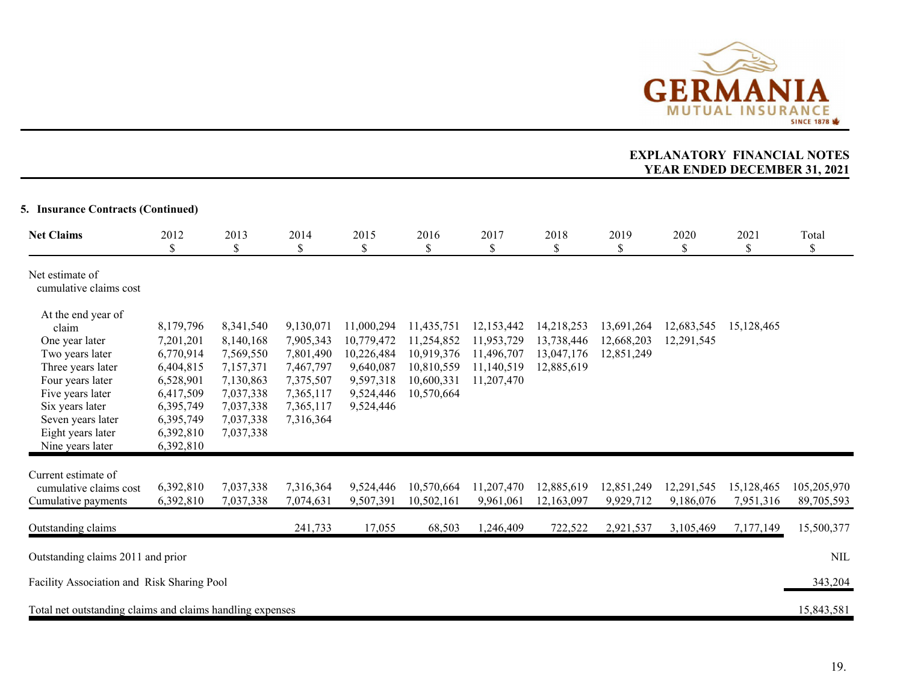

| <b>Net Claims</b>                                                                                                                                                                                              | 2012<br>\$                                                                                                                     | 2013<br>\$                                                                                                        | 2014<br>\$                                                                                           | 2015<br>\$                                                                                 | 2016<br>\$                                                                       | 2017<br>\$                                                         | 2018<br>\$                                           | 2019<br>\$                             | 2020<br>\$               | 2021<br>\$              | Total<br>\$               |
|----------------------------------------------------------------------------------------------------------------------------------------------------------------------------------------------------------------|--------------------------------------------------------------------------------------------------------------------------------|-------------------------------------------------------------------------------------------------------------------|------------------------------------------------------------------------------------------------------|--------------------------------------------------------------------------------------------|----------------------------------------------------------------------------------|--------------------------------------------------------------------|------------------------------------------------------|----------------------------------------|--------------------------|-------------------------|---------------------------|
| Net estimate of<br>cumulative claims cost                                                                                                                                                                      |                                                                                                                                |                                                                                                                   |                                                                                                      |                                                                                            |                                                                                  |                                                                    |                                                      |                                        |                          |                         |                           |
| At the end year of<br>claim<br>One year later<br>Two years later<br>Three years later<br>Four years later<br>Five years later<br>Six years later<br>Seven years later<br>Eight years later<br>Nine years later | 8,179,796<br>7,201,201<br>6,770,914<br>6,404,815<br>6,528,901<br>6,417,509<br>6,395,749<br>6,395,749<br>6,392,810<br>6,392,810 | 8,341,540<br>8,140,168<br>7,569,550<br>7,157,371<br>7,130,863<br>7,037,338<br>7,037,338<br>7,037,338<br>7,037,338 | 9,130,071<br>7,905,343<br>7,801,490<br>7,467,797<br>7,375,507<br>7,365,117<br>7,365,117<br>7,316,364 | 11,000,294<br>10,779,472<br>10,226,484<br>9,640,087<br>9,597,318<br>9,524,446<br>9,524,446 | 11,435,751<br>11,254,852<br>10,919,376<br>10,810,559<br>10,600,331<br>10,570,664 | 12,153,442<br>11,953,729<br>11,496,707<br>11,140,519<br>11,207,470 | 14,218,253<br>13,738,446<br>13,047,176<br>12,885,619 | 13,691,264<br>12,668,203<br>12,851,249 | 12,683,545<br>12,291,545 | 15,128,465              |                           |
| Current estimate of<br>cumulative claims cost<br>Cumulative payments                                                                                                                                           | 6,392,810<br>6,392,810                                                                                                         | 7,037,338<br>7,037,338                                                                                            | 7,316,364<br>7,074,631                                                                               | 9,524,446<br>9,507,391                                                                     | 10,570,664<br>10,502,161                                                         | 11,207,470<br>9,961,061                                            | 12,885,619<br>12,163,097                             | 12,851,249<br>9,929,712                | 12,291,545<br>9,186,076  | 15,128,465<br>7,951,316 | 105,205,970<br>89,705,593 |
| Outstanding claims                                                                                                                                                                                             |                                                                                                                                |                                                                                                                   | 241,733                                                                                              | 17,055                                                                                     | 68,503                                                                           | 1,246,409                                                          | 722,522                                              | 2,921,537                              | 3,105,469                | 7,177,149               | 15,500,377                |
| Outstanding claims 2011 and prior                                                                                                                                                                              |                                                                                                                                |                                                                                                                   |                                                                                                      |                                                                                            |                                                                                  |                                                                    |                                                      |                                        |                          |                         | $\text{NIL}$              |
| Facility Association and Risk Sharing Pool                                                                                                                                                                     |                                                                                                                                |                                                                                                                   |                                                                                                      |                                                                                            |                                                                                  |                                                                    |                                                      |                                        |                          |                         | 343,204                   |
| Total net outstanding claims and claims handling expenses                                                                                                                                                      |                                                                                                                                |                                                                                                                   |                                                                                                      |                                                                                            |                                                                                  |                                                                    |                                                      |                                        |                          |                         | 15,843,581                |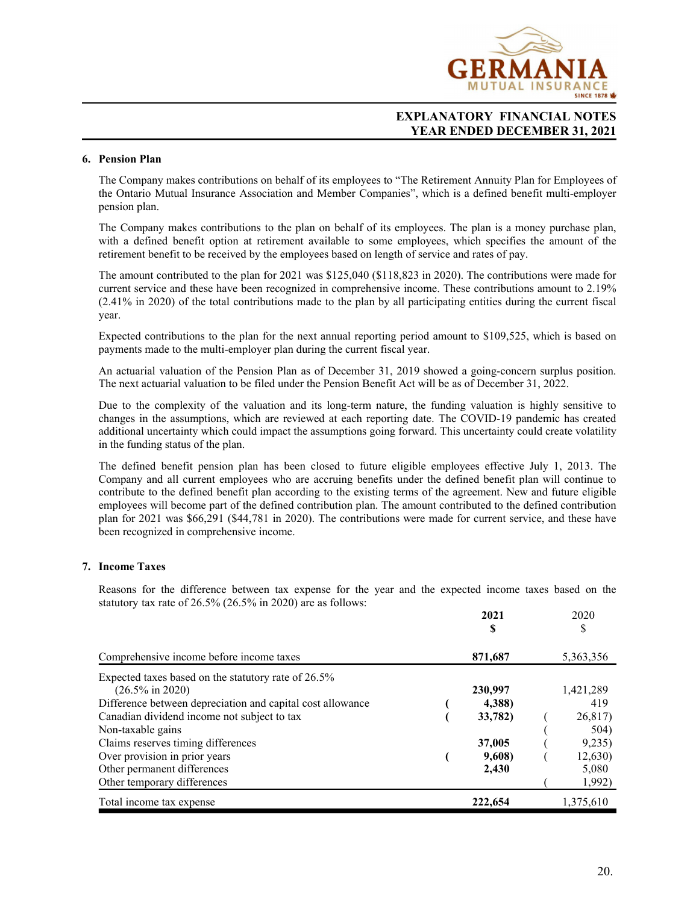

### **6. Pension Plan**

The Company makes contributions on behalf of its employees to "The Retirement Annuity Plan for Employees of the Ontario Mutual Insurance Association and Member Companies", which is a defined benefit multi-employer pension plan.

The Company makes contributions to the plan on behalf of its employees. The plan is a money purchase plan, with a defined benefit option at retirement available to some employees, which specifies the amount of the retirement benefit to be received by the employees based on length of service and rates of pay.

The amount contributed to the plan for 2021 was \$125,040 (\$118,823 in 2020). The contributions were made for current service and these have been recognized in comprehensive income. These contributions amount to 2.19% (2.41% in 2020) of the total contributions made to the plan by all participating entities during the current fiscal year.

Expected contributions to the plan for the next annual reporting period amount to \$109,525, which is based on payments made to the multi-employer plan during the current fiscal year.

An actuarial valuation of the Pension Plan as of December 31, 2019 showed a going-concern surplus position. The next actuarial valuation to be filed under the Pension Benefit Act will be as of December 31, 2022.

Due to the complexity of the valuation and its long-term nature, the funding valuation is highly sensitive to changes in the assumptions, which are reviewed at each reporting date. The COVID-19 pandemic has created additional uncertainty which could impact the assumptions going forward. This uncertainty could create volatility in the funding status of the plan.

The defined benefit pension plan has been closed to future eligible employees effective July 1, 2013. The Company and all current employees who are accruing benefits under the defined benefit plan will continue to contribute to the defined benefit plan according to the existing terms of the agreement. New and future eligible employees will become part of the defined contribution plan. The amount contributed to the defined contribution plan for 2021 was \$66,291 (\$44,781 in 2020). The contributions were made for current service, and these have been recognized in comprehensive income.

## **7. Income Taxes**

Reasons for the difference between tax expense for the year and the expected income taxes based on the statutory tax rate of 26.5% (26.5% in 2020) are as follows: **2021** 2020

|                                                            | \$      | \$          |
|------------------------------------------------------------|---------|-------------|
| Comprehensive income before income taxes                   | 871,687 | 5, 363, 356 |
| Expected taxes based on the statutory rate of 26.5%        |         |             |
| $(26.5\% \text{ in } 2020)$                                | 230,997 | 1,421,289   |
| Difference between depreciation and capital cost allowance | 4,388)  | 419         |
| Canadian dividend income not subject to tax                | 33,782) | 26,817)     |
| Non-taxable gains                                          |         | 504)        |
| Claims reserves timing differences                         | 37,005  | 9,235)      |
| Over provision in prior years                              | 9,608)  | 12,630)     |
| Other permanent differences                                | 2,430   | 5,080       |
| Other temporary differences                                |         | 1,992)      |
| Total income tax expense                                   | 222,654 | 1,375,610   |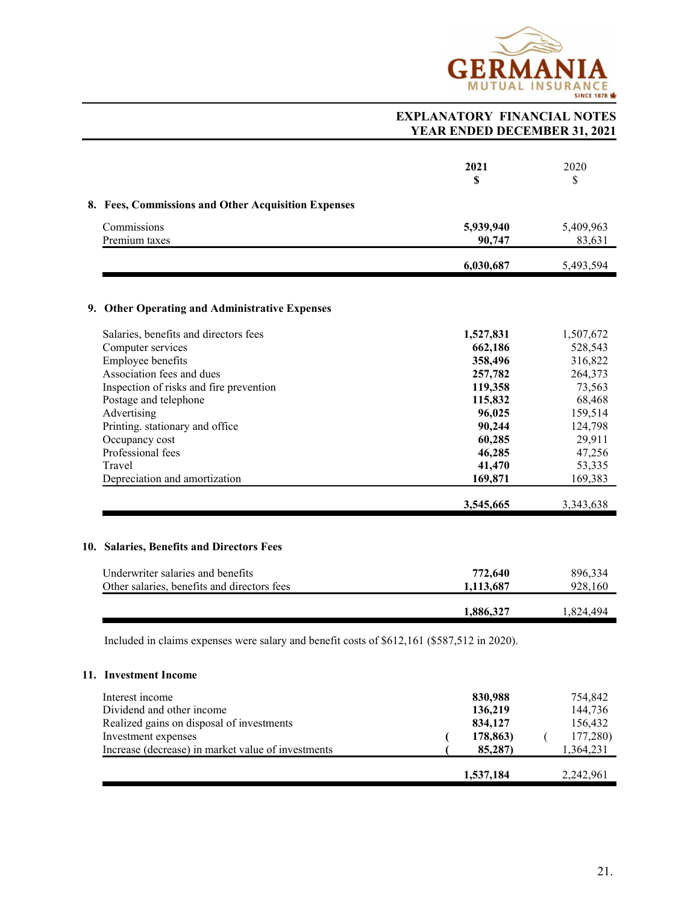

|                                                                                                                                                                                                                                                                                                                      | 2021<br>\$                                                                                                                                 |   | 2020<br>\$                                                                                                                                 |
|----------------------------------------------------------------------------------------------------------------------------------------------------------------------------------------------------------------------------------------------------------------------------------------------------------------------|--------------------------------------------------------------------------------------------------------------------------------------------|---|--------------------------------------------------------------------------------------------------------------------------------------------|
| 8. Fees, Commissions and Other Acquisition Expenses                                                                                                                                                                                                                                                                  |                                                                                                                                            |   |                                                                                                                                            |
| Commissions<br>Premium taxes                                                                                                                                                                                                                                                                                         | 5,939,940<br>90,747                                                                                                                        |   | 5,409,963<br>83,631                                                                                                                        |
|                                                                                                                                                                                                                                                                                                                      | 6,030,687                                                                                                                                  |   | 5,493,594                                                                                                                                  |
| 9. Other Operating and Administrative Expenses                                                                                                                                                                                                                                                                       |                                                                                                                                            |   |                                                                                                                                            |
| Salaries, benefits and directors fees<br>Computer services<br>Employee benefits<br>Association fees and dues<br>Inspection of risks and fire prevention<br>Postage and telephone<br>Advertising<br>Printing. stationary and office<br>Occupancy cost<br>Professional fees<br>Travel<br>Depreciation and amortization | 1,527,831<br>662,186<br>358,496<br>257,782<br>119,358<br>115,832<br>96,025<br>90,244<br>60,285<br>46,285<br>41,470<br>169,871<br>3,545,665 |   | 1,507,672<br>528,543<br>316,822<br>264,373<br>73,563<br>68,468<br>159,514<br>124,798<br>29,911<br>47,256<br>53,335<br>169,383<br>3,343,638 |
| 10. Salaries, Benefits and Directors Fees<br>Underwriter salaries and benefits                                                                                                                                                                                                                                       | 772,640                                                                                                                                    |   | 896,334                                                                                                                                    |
| Other salaries, benefits and directors fees                                                                                                                                                                                                                                                                          | 1,113,687                                                                                                                                  |   | 928,160                                                                                                                                    |
| Included in claims expenses were salary and benefit costs of \$612,161 (\$587,512 in 2020).<br>11. Investment Income                                                                                                                                                                                                 | 1,886,327                                                                                                                                  |   | 1,824,494                                                                                                                                  |
|                                                                                                                                                                                                                                                                                                                      |                                                                                                                                            |   |                                                                                                                                            |
| Interest income<br>Dividend and other income                                                                                                                                                                                                                                                                         | 830,988<br>136,219                                                                                                                         |   | 754,842<br>144,736                                                                                                                         |
| Realized gains on disposal of investments                                                                                                                                                                                                                                                                            | 834,127                                                                                                                                    |   | 156,432                                                                                                                                    |
| Investment expenses                                                                                                                                                                                                                                                                                                  | 178,863)                                                                                                                                   | € | 177,280)                                                                                                                                   |
| Increase (decrease) in market value of investments                                                                                                                                                                                                                                                                   | 85,287)                                                                                                                                    |   | 1,364,231                                                                                                                                  |
|                                                                                                                                                                                                                                                                                                                      | 1,537,184                                                                                                                                  |   | 2,242,961                                                                                                                                  |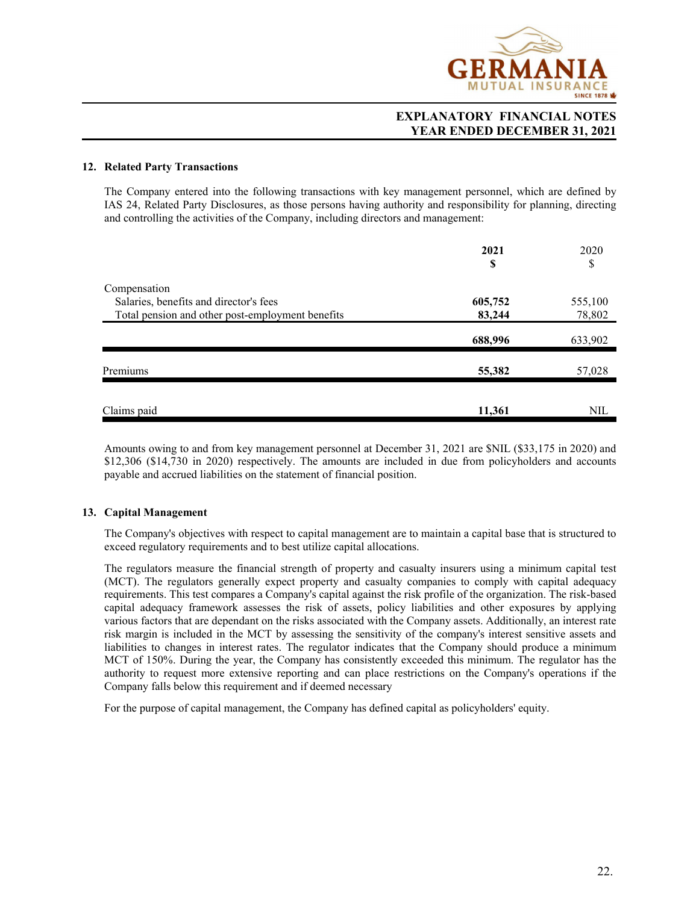

### **12. Related Party Transactions**

The Company entered into the following transactions with key management personnel, which are defined by IAS 24, Related Party Disclosures, as those persons having authority and responsibility for planning, directing and controlling the activities of the Company, including directors and management:

|                                                  | 2021<br>\$ | 2020<br>S  |
|--------------------------------------------------|------------|------------|
| Compensation                                     |            |            |
| Salaries, benefits and director's fees           | 605,752    | 555,100    |
| Total pension and other post-employment benefits | 83,244     | 78,802     |
|                                                  | 688,996    | 633,902    |
| Premiums                                         | 55,382     | 57,028     |
|                                                  |            |            |
| Claims paid                                      | 11,361     | <b>NIL</b> |

Amounts owing to and from key management personnel at December 31, 2021 are \$NIL (\$33,175 in 2020) and \$12,306 (\$14,730 in 2020) respectively. The amounts are included in due from policyholders and accounts payable and accrued liabilities on the statement of financial position.

### **13. Capital Management**

The Company's objectives with respect to capital management are to maintain a capital base that is structured to exceed regulatory requirements and to best utilize capital allocations.

The regulators measure the financial strength of property and casualty insurers using a minimum capital test (MCT). The regulators generally expect property and casualty companies to comply with capital adequacy requirements. This test compares a Company's capital against the risk profile of the organization. The risk-based capital adequacy framework assesses the risk of assets, policy liabilities and other exposures by applying various factors that are dependant on the risks associated with the Company assets. Additionally, an interest rate risk margin is included in the MCT by assessing the sensitivity of the company's interest sensitive assets and liabilities to changes in interest rates. The regulator indicates that the Company should produce a minimum MCT of 150%. During the year, the Company has consistently exceeded this minimum. The regulator has the authority to request more extensive reporting and can place restrictions on the Company's operations if the Company falls below this requirement and if deemed necessary

For the purpose of capital management, the Company has defined capital as policyholders' equity.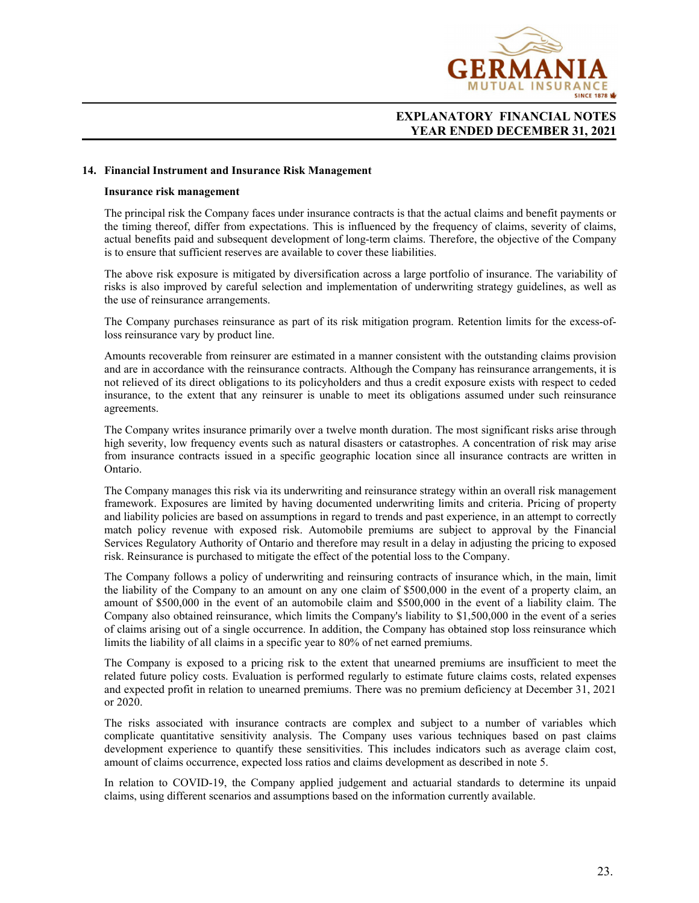

#### **14. Financial Instrument and Insurance Risk Management**

#### **Insurance risk management**

The principal risk the Company faces under insurance contracts is that the actual claims and benefit payments or the timing thereof, differ from expectations. This is influenced by the frequency of claims, severity of claims, actual benefits paid and subsequent development of long-term claims. Therefore, the objective of the Company is to ensure that sufficient reserves are available to cover these liabilities.

The above risk exposure is mitigated by diversification across a large portfolio of insurance. The variability of risks is also improved by careful selection and implementation of underwriting strategy guidelines, as well as the use of reinsurance arrangements.

The Company purchases reinsurance as part of its risk mitigation program. Retention limits for the excess-ofloss reinsurance vary by product line.

Amounts recoverable from reinsurer are estimated in a manner consistent with the outstanding claims provision and are in accordance with the reinsurance contracts. Although the Company has reinsurance arrangements, it is not relieved of its direct obligations to its policyholders and thus a credit exposure exists with respect to ceded insurance, to the extent that any reinsurer is unable to meet its obligations assumed under such reinsurance agreements.

The Company writes insurance primarily over a twelve month duration. The most significant risks arise through high severity, low frequency events such as natural disasters or catastrophes. A concentration of risk may arise from insurance contracts issued in a specific geographic location since all insurance contracts are written in Ontario.

The Company manages this risk via its underwriting and reinsurance strategy within an overall risk management framework. Exposures are limited by having documented underwriting limits and criteria. Pricing of property and liability policies are based on assumptions in regard to trends and past experience, in an attempt to correctly match policy revenue with exposed risk. Automobile premiums are subject to approval by the Financial Services Regulatory Authority of Ontario and therefore may result in a delay in adjusting the pricing to exposed risk. Reinsurance is purchased to mitigate the effect of the potential loss to the Company.

The Company follows a policy of underwriting and reinsuring contracts of insurance which, in the main, limit the liability of the Company to an amount on any one claim of \$500,000 in the event of a property claim, an amount of \$500,000 in the event of an automobile claim and \$500,000 in the event of a liability claim. The Company also obtained reinsurance, which limits the Company's liability to \$1,500,000 in the event of a series of claims arising out of a single occurrence. In addition, the Company has obtained stop loss reinsurance which limits the liability of all claims in a specific year to 80% of net earned premiums.

The Company is exposed to a pricing risk to the extent that unearned premiums are insufficient to meet the related future policy costs. Evaluation is performed regularly to estimate future claims costs, related expenses and expected profit in relation to unearned premiums. There was no premium deficiency at December 31, 2021 or 2020.

The risks associated with insurance contracts are complex and subject to a number of variables which complicate quantitative sensitivity analysis. The Company uses various techniques based on past claims development experience to quantify these sensitivities. This includes indicators such as average claim cost, amount of claims occurrence, expected loss ratios and claims development as described in note 5.

In relation to COVID-19, the Company applied judgement and actuarial standards to determine its unpaid claims, using different scenarios and assumptions based on the information currently available.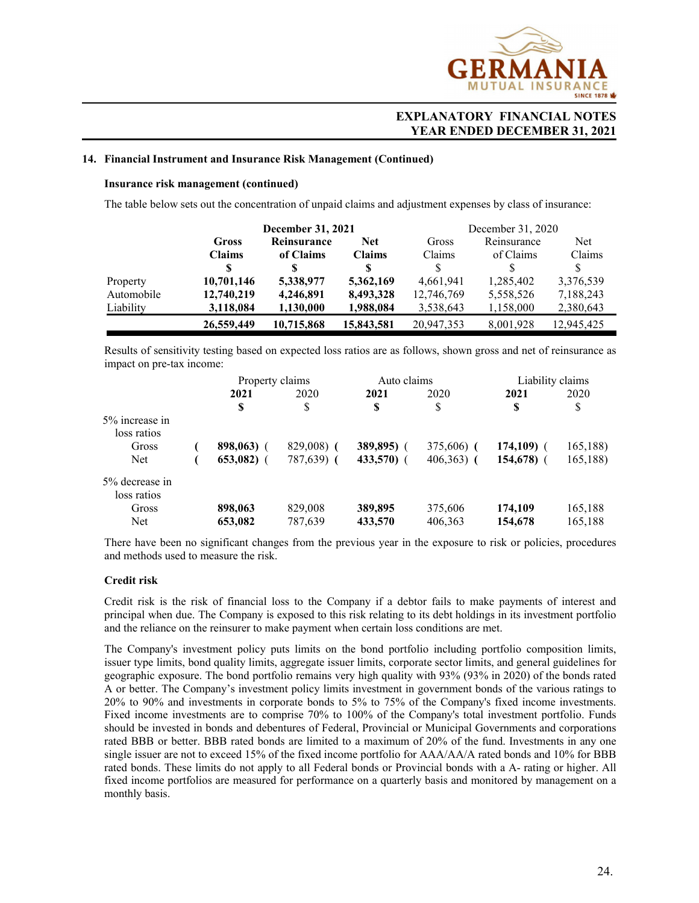

#### **14. Financial Instrument and Insurance Risk Management (Continued)**

#### **Insurance risk management (continued)**

The table below sets out the concentration of unpaid claims and adjustment expenses by class of insurance:

|            |               | December 31, 2021 |               | December 31, 2020 |             |            |  |
|------------|---------------|-------------------|---------------|-------------------|-------------|------------|--|
|            | <b>Gross</b>  | Reinsurance       |               | <b>Gross</b>      | Reinsurance | <b>Net</b> |  |
|            | <b>Claims</b> | of Claims         | <b>Claims</b> | Claims            | of Claims   | Claims     |  |
|            | S             | S                 | S             |                   |             | \$         |  |
| Property   | 10,701,146    | 5,338,977         | 5,362,169     | 4,661,941         | 1,285,402   | 3,376,539  |  |
| Automobile | 12,740,219    | 4,246,891         | 8,493,328     | 12,746,769        | 5,558,526   | 7,188,243  |  |
| Liability  | 3,118,084     | 1,130,000         | 1,988,084     | 3,538,643         | 1,158,000   | 2,380,643  |  |
|            | 26,559,449    | 10,715,868        | 15,843,581    | 20,947,353        | 8,001,928   | 12,945,425 |  |

Results of sensitivity testing based on expected loss ratios are as follows, shown gross and net of reinsurance as impact on pre-tax income:

|                               | Property claims |            | Auto claims |             | Liability claims |          |  |
|-------------------------------|-----------------|------------|-------------|-------------|------------------|----------|--|
|                               | 2021            | 2020       | 2021        | 2020        | 2021             | 2020     |  |
|                               | \$              | \$         | S           | \$          | \$               | \$       |  |
| 5% increase in<br>loss ratios |                 |            |             |             |                  |          |  |
| Gross                         | 898,063) (      | 829,008) ( | 389,895) (  | $375,606$ ( | $174,109$ (      | 165,188) |  |
| <b>Net</b>                    | $653,082)$ (    | 787,639) ( | $433,570$ ( | $406,363$ ( | $154,678$ (      | 165,188) |  |
| 5% decrease in<br>loss ratios |                 |            |             |             |                  |          |  |
| Gross                         | 898,063         | 829,008    | 389,895     | 375,606     | 174,109          | 165,188  |  |
| Net                           | 653,082         | 787,639    | 433,570     | 406,363     | 154,678          | 165,188  |  |
|                               |                 |            |             |             |                  |          |  |

There have been no significant changes from the previous year in the exposure to risk or policies, procedures and methods used to measure the risk.

### **Credit risk**

Credit risk is the risk of financial loss to the Company if a debtor fails to make payments of interest and principal when due. The Company is exposed to this risk relating to its debt holdings in its investment portfolio and the reliance on the reinsurer to make payment when certain loss conditions are met.

The Company's investment policy puts limits on the bond portfolio including portfolio composition limits, issuer type limits, bond quality limits, aggregate issuer limits, corporate sector limits, and general guidelines for geographic exposure. The bond portfolio remains very high quality with 93% (93% in 2020) of the bonds rated A or better. The Company's investment policy limits investment in government bonds of the various ratings to 20% to 90% and investments in corporate bonds to 5% to 75% of the Company's fixed income investments. Fixed income investments are to comprise 70% to 100% of the Company's total investment portfolio. Funds should be invested in bonds and debentures of Federal, Provincial or Municipal Governments and corporations rated BBB or better. BBB rated bonds are limited to a maximum of 20% of the fund. Investments in any one single issuer are not to exceed 15% of the fixed income portfolio for AAA/AA/A rated bonds and 10% for BBB rated bonds. These limits do not apply to all Federal bonds or Provincial bonds with a A- rating or higher. All fixed income portfolios are measured for performance on a quarterly basis and monitored by management on a monthly basis.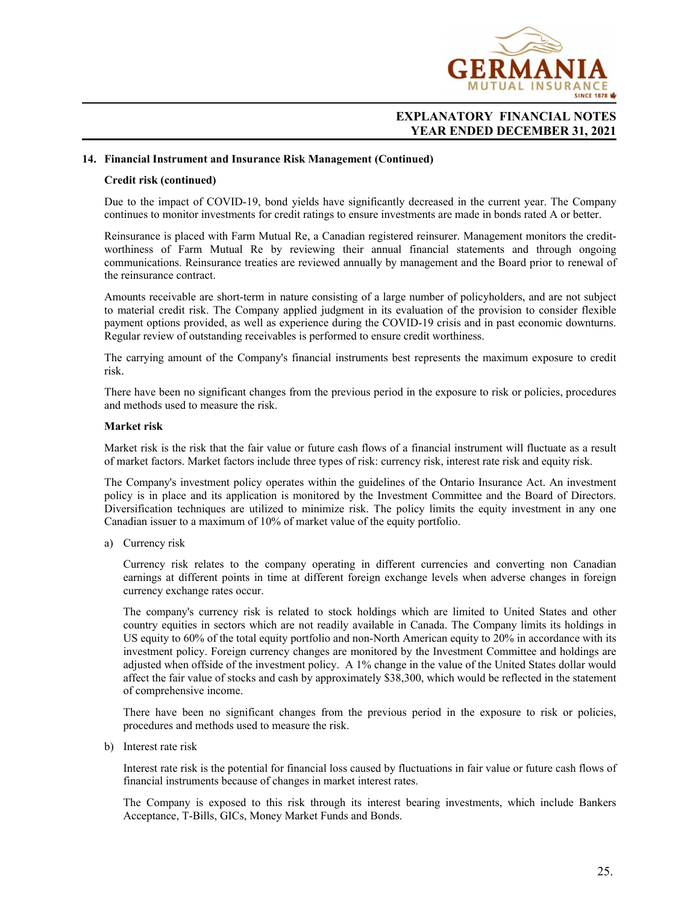

#### **14. Financial Instrument and Insurance Risk Management (Continued)**

#### **Credit risk (continued)**

Due to the impact of COVID-19, bond yields have significantly decreased in the current year. The Company continues to monitor investments for credit ratings to ensure investments are made in bonds rated A or better.

Reinsurance is placed with Farm Mutual Re, a Canadian registered reinsurer. Management monitors the creditworthiness of Farm Mutual Re by reviewing their annual financial statements and through ongoing communications. Reinsurance treaties are reviewed annually by management and the Board prior to renewal of the reinsurance contract.

Amounts receivable are short-term in nature consisting of a large number of policyholders, and are not subject to material credit risk. The Company applied judgment in its evaluation of the provision to consider flexible payment options provided, as well as experience during the COVID-19 crisis and in past economic downturns. Regular review of outstanding receivables is performed to ensure credit worthiness.

The carrying amount of the Company's financial instruments best represents the maximum exposure to credit risk.

There have been no significant changes from the previous period in the exposure to risk or policies, procedures and methods used to measure the risk.

### **Market risk**

Market risk is the risk that the fair value or future cash flows of a financial instrument will fluctuate as a result of market factors. Market factors include three types of risk: currency risk, interest rate risk and equity risk.

The Company's investment policy operates within the guidelines of the Ontario Insurance Act. An investment policy is in place and its application is monitored by the Investment Committee and the Board of Directors. Diversification techniques are utilized to minimize risk. The policy limits the equity investment in any one Canadian issuer to a maximum of 10% of market value of the equity portfolio.

a) Currency risk

Currency risk relates to the company operating in different currencies and converting non Canadian earnings at different points in time at different foreign exchange levels when adverse changes in foreign currency exchange rates occur.

The company's currency risk is related to stock holdings which are limited to United States and other country equities in sectors which are not readily available in Canada. The Company limits its holdings in US equity to 60% of the total equity portfolio and non-North American equity to 20% in accordance with its investment policy. Foreign currency changes are monitored by the Investment Committee and holdings are adjusted when offside of the investment policy. A 1% change in the value of the United States dollar would affect the fair value of stocks and cash by approximately \$38,300, which would be reflected in the statement of comprehensive income.

There have been no significant changes from the previous period in the exposure to risk or policies, procedures and methods used to measure the risk.

b) Interest rate risk

Interest rate risk is the potential for financial loss caused by fluctuations in fair value or future cash flows of financial instruments because of changes in market interest rates.

The Company is exposed to this risk through its interest bearing investments, which include Bankers Acceptance, T-Bills, GICs, Money Market Funds and Bonds.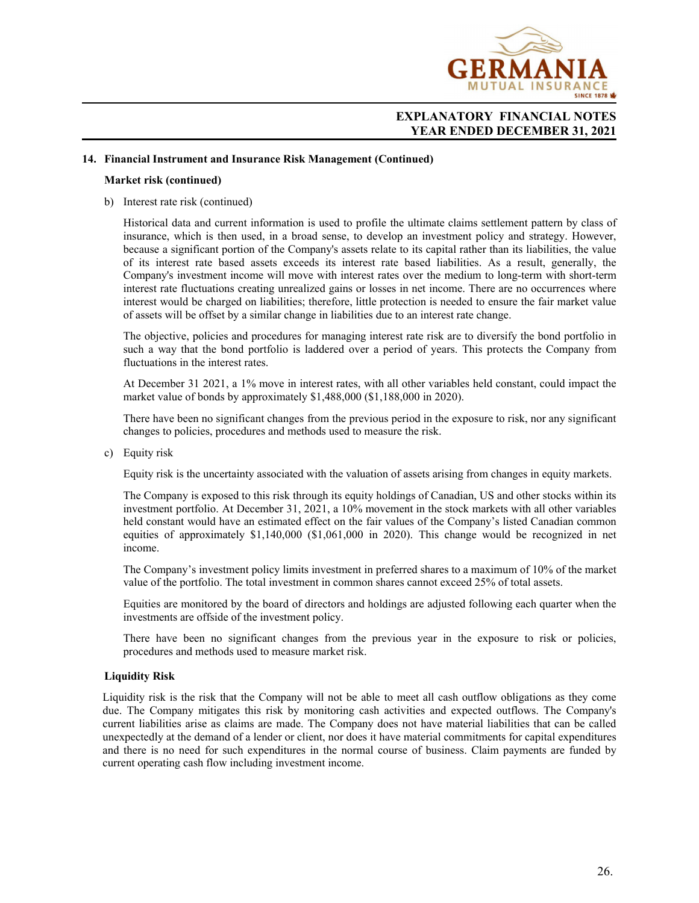

### **14. Financial Instrument and Insurance Risk Management (Continued)**

#### **Market risk (continued)**

b) Interest rate risk (continued)

Historical data and current information is used to profile the ultimate claims settlement pattern by class of insurance, which is then used, in a broad sense, to develop an investment policy and strategy. However, because a significant portion of the Company's assets relate to its capital rather than its liabilities, the value of its interest rate based assets exceeds its interest rate based liabilities. As a result, generally, the Company's investment income will move with interest rates over the medium to long-term with short-term interest rate fluctuations creating unrealized gains or losses in net income. There are no occurrences where interest would be charged on liabilities; therefore, little protection is needed to ensure the fair market value of assets will be offset by a similar change in liabilities due to an interest rate change.

The objective, policies and procedures for managing interest rate risk are to diversify the bond portfolio in such a way that the bond portfolio is laddered over a period of years. This protects the Company from fluctuations in the interest rates.

At December 31 2021, a 1% move in interest rates, with all other variables held constant, could impact the market value of bonds by approximately \$1,488,000 (\$1,188,000 in 2020).

There have been no significant changes from the previous period in the exposure to risk, nor any significant changes to policies, procedures and methods used to measure the risk.

c) Equity risk

Equity risk is the uncertainty associated with the valuation of assets arising from changes in equity markets.

The Company is exposed to this risk through its equity holdings of Canadian, US and other stocks within its investment portfolio. At December 31, 2021, a 10% movement in the stock markets with all other variables held constant would have an estimated effect on the fair values of the Company's listed Canadian common equities of approximately \$1,140,000 (\$1,061,000 in 2020). This change would be recognized in net income.

The Company's investment policy limits investment in preferred shares to a maximum of 10% of the market value of the portfolio. The total investment in common shares cannot exceed 25% of total assets.

Equities are monitored by the board of directors and holdings are adjusted following each quarter when the investments are offside of the investment policy.

There have been no significant changes from the previous year in the exposure to risk or policies, procedures and methods used to measure market risk.

### **Liquidity Risk**

Liquidity risk is the risk that the Company will not be able to meet all cash outflow obligations as they come due. The Company mitigates this risk by monitoring cash activities and expected outflows. The Company's current liabilities arise as claims are made. The Company does not have material liabilities that can be called unexpectedly at the demand of a lender or client, nor does it have material commitments for capital expenditures and there is no need for such expenditures in the normal course of business. Claim payments are funded by current operating cash flow including investment income.